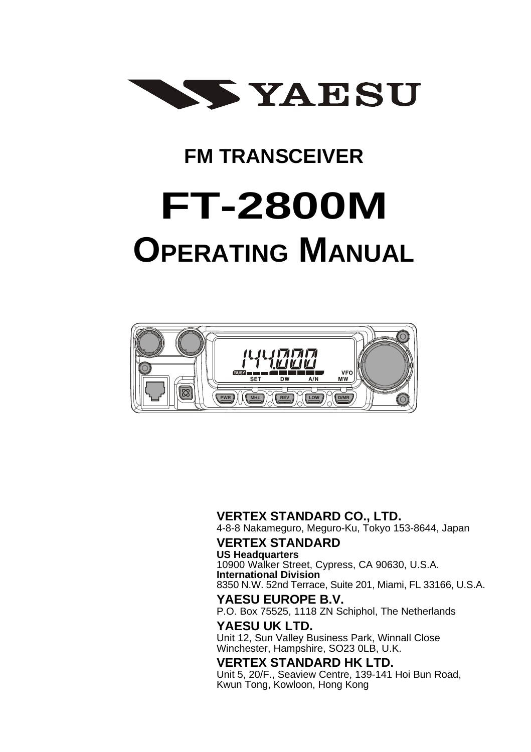

## **FM TRANSCEIVER**

# **FT-2800M OPERATING MANUAL**



#### **VERTEX STANDARD CO., LTD.**

4-8-8 Nakameguro, Meguro-Ku, Tokyo 153-8644, Japan

#### **VERTEX STANDARD**

**US Headquarters** 10900 Walker Street, Cypress, CA 90630, U.S.A. **International Division** 8350 N.W. 52nd Terrace, Suite 201, Miami, FL 33166, U.S.A.

#### **YAESU EUROPE B.V.**

P.O. Box 75525, 1118 ZN Schiphol, The Netherlands

#### **YAESU UK LTD.**

Unit 12, Sun Valley Business Park, Winnall Close Winchester, Hampshire, SO23 0LB, U.K.

#### **VERTEX STANDARD HK LTD.**

Unit 5, 20/F., Seaview Centre, 139-141 Hoi Bun Road, Kwun Tong, Kowloon, Hong Kong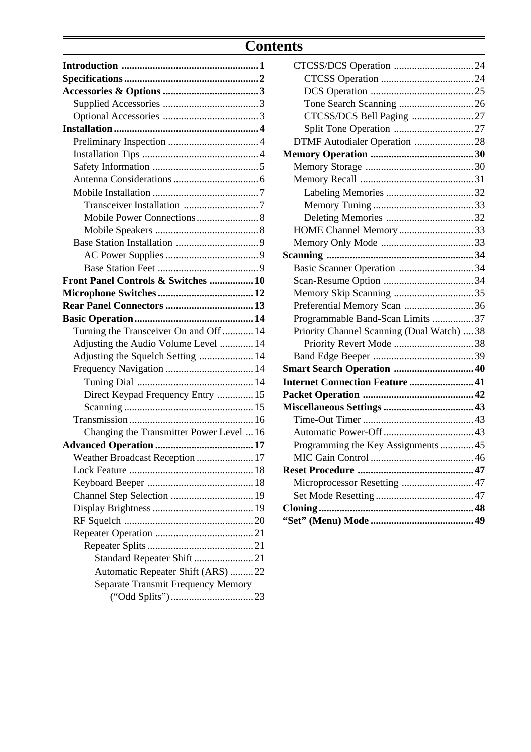### **Contents**

| Front Panel Controls & Switches  10      |
|------------------------------------------|
|                                          |
|                                          |
|                                          |
| Turning the Transceiver On and Off  14   |
| Adjusting the Audio Volume Level  14     |
| Adjusting the Squelch Setting  14        |
|                                          |
|                                          |
| Direct Keypad Frequency Entry  15        |
|                                          |
|                                          |
| Changing the Transmitter Power Level  16 |
|                                          |
| Weather Broadcast Reception  17          |
|                                          |
|                                          |
|                                          |
|                                          |
|                                          |
|                                          |
|                                          |
| Standard Repeater Shift  21              |
| Automatic Repeater Shift (ARS) 22        |
| Separate Transmit Frequency Memory       |
|                                          |

| CTCSS/DCS Bell Paging  27                  |  |
|--------------------------------------------|--|
|                                            |  |
| DTMF Autodialer Operation  28              |  |
|                                            |  |
|                                            |  |
|                                            |  |
|                                            |  |
|                                            |  |
|                                            |  |
| HOME Channel Memory33                      |  |
|                                            |  |
|                                            |  |
| Basic Scanner Operation 34                 |  |
|                                            |  |
|                                            |  |
| Preferential Memory Scan 36                |  |
| Programmable Band-Scan Limits  37          |  |
| Priority Channel Scanning (Dual Watch)  38 |  |
| Priority Revert Mode 38                    |  |
|                                            |  |
|                                            |  |
| Internet Connection Feature  41            |  |
|                                            |  |
|                                            |  |
|                                            |  |
|                                            |  |
| Programming the Key Assignments  45        |  |
|                                            |  |
|                                            |  |
| Microprocessor Resetting  47               |  |
|                                            |  |
|                                            |  |
|                                            |  |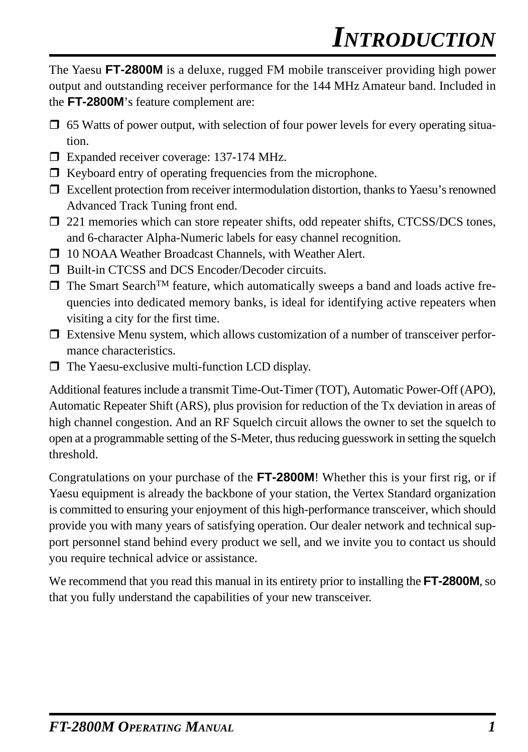## *INTRODUCTION*

The Yaesu **FT-2800M** is a deluxe, rugged FM mobile transceiver providing high power output and outstanding receiver performance for the 144 MHz Amateur band. Included in the **FT-2800M**'s feature complement are:

- $\Box$  65 Watts of power output, with selection of four power levels for every operating situation.
- $\Box$  Expanded receiver coverage: 137-174 MHz.
- $\Box$  Keyboard entry of operating frequencies from the microphone.
- $\Box$  Excellent protection from receiver intermodulation distortion, thanks to Yaesu's renowned Advanced Track Tuning front end.
- $\Box$  221 memories which can store repeater shifts, odd repeater shifts, CTCSS/DCS tones, and 6-character Alpha-Numeric labels for easy channel recognition.
- **T** 10 NOAA Weather Broadcast Channels, with Weather Alert.
- $\Box$  Built-in CTCSS and DCS Encoder/Decoder circuits.
- $\Box$  The Smart Search<sup>TM</sup> feature, which automatically sweeps a band and loads active frequencies into dedicated memory banks, is ideal for identifying active repeaters when visiting a city for the first time.
- $\Box$  Extensive Menu system, which allows customization of a number of transceiver performance characteristics.
- $\Box$  The Yaesu-exclusive multi-function LCD display.

Additional features include a transmit Time-Out-Timer (TOT), Automatic Power-Off (APO), Automatic Repeater Shift (ARS), plus provision for reduction of the Tx deviation in areas of high channel congestion. And an RF Squelch circuit allows the owner to set the squelch to open at a programmable setting of the S-Meter, thus reducing guesswork in setting the squelch threshold.

Congratulations on your purchase of the **FT-2800M**! Whether this is your first rig, or if Yaesu equipment is already the backbone of your station, the Vertex Standard organization is committed to ensuring your enjoyment of this high-performance transceiver, which should provide you with many years of satisfying operation. Our dealer network and technical support personnel stand behind every product we sell, and we invite you to contact us should you require technical advice or assistance.

We recommend that you read this manual in its entirety prior to installing the **FT-2800M**, so that you fully understand the capabilities of your new transceiver.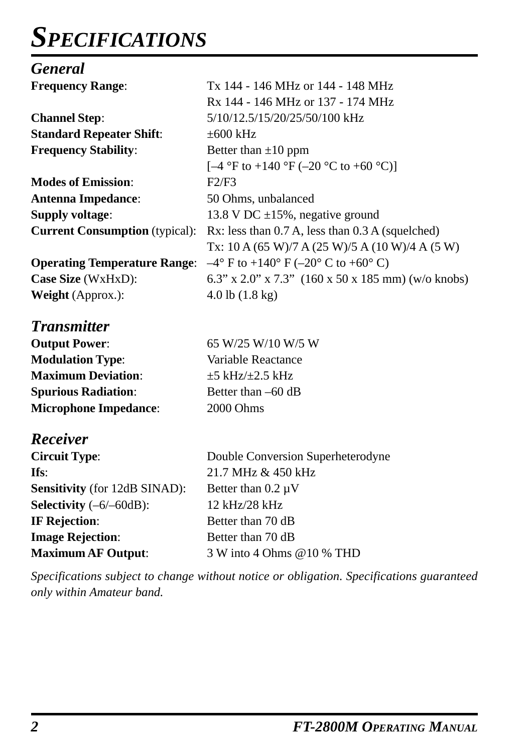## *SPECIFICATIONS*

#### *General* **Frequency Range:** Tx 144 - 146 MHz or 144 - 148 MHz Rx 144 - 146 MHz or 137 - 174 MHz **Channel Step**: 5/10/12.5/15/20/25/50/100 kHz **Standard Repeater Shift:**  $\pm 600$  kHz **Frequency Stability:** Better than  $\pm 10$  ppm  $[-4 °F$  to  $+140 °F$  (-20 °C to +60 °C)] **Modes of Emission**: F2/F3 **Antenna Impedance**: 50 Ohms, unbalanced **Supply voltage:** 13.8 V DC ±15%, negative ground **Current Consumption** (typical): Rx: less than 0.7 A, less than 0.3 A (squelched) Tx: 10 A (65 W)/7 A (25 W)/5 A (10 W)/4 A (5 W) **Operating Temperature Range:**  $-4^{\circ}$  F to  $+140^{\circ}$  F ( $-20^{\circ}$  C to  $+60^{\circ}$  C) **Case Size** (WxHxD): 6.3" x 2.0" x 7.3" (160 x 50 x 185 mm) (w/o knobs) **Weight** (Approx.): 4.0 lb (1.8 kg)

| <b>Output Power:</b>         |
|------------------------------|
| <b>Modulation Type:</b>      |
| <b>Maximum Deviation:</b>    |
| <b>Spurious Radiation:</b>   |
| <b>Microphone Impedance:</b> |

*Receiver*

| <b>Circuit Type:</b>                 | Double Conversion St      |
|--------------------------------------|---------------------------|
| Ifs:                                 | 21.7 MHz & 450 kHz        |
| <b>Sensitivity</b> (for 12dB SINAD): | Better than $0.2 \mu V$   |
| <b>Selectivity</b> $(-6/-60dB)$ :    | 12 kHz/28 kHz             |
| <b>IF Rejection:</b>                 | Better than 70 dB         |
| <b>Image Rejection:</b>              | Better than 70 dB         |
| Maximum $\Delta F$ Output:           | $3 W$ into $4$ Ohms $@10$ |

**Output Power**: 65 W/25 W/10 W/5 W **Variable Reactance Maximum Deviation**: ±5 kHz/±2.5 kHz **Better than –60 dB Microphone Impedance**: 2000 Ohms

| <b>Circuit Type:</b>                 | Double Conversion Superheterodyne |
|--------------------------------------|-----------------------------------|
| Ifs:                                 | 21.7 MHz & 450 kHz                |
| <b>Sensitivity</b> (for 12dB SINAD): | Better than $0.2 \mu V$           |
| Selectivity $(-6/-60dB)$ :           | 12 kHz/28 kHz                     |
| <b>IF Rejection:</b>                 | Better than 70 dB                 |
| <b>Image Rejection:</b>              | Better than 70 dB                 |
| <b>Maximum AF Output:</b>            | 3 W into 4 Ohms @10 % THD         |

*Specifications subject to change without notice or obligation. Specifications guaranteed only within Amateur band.*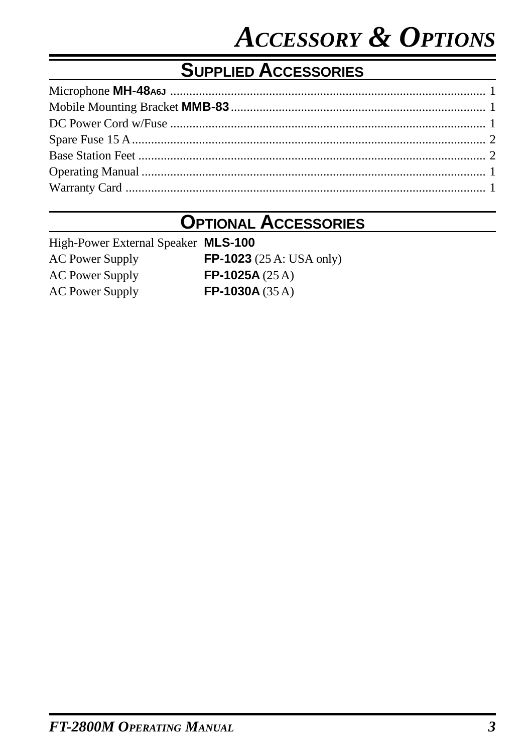## **ACCESSORY & OPTIONS**

### **SUPPLIED ACCESSORIES**

### **OPTIONAL ACCESSORIES**

High-Power External Speaker MLS-100 **AC Power Supply AC Power Supply AC Power Supply** 

FP-1023 (25 A: USA only) FP-1025A $(25A)$ FP-1030A $(35A)$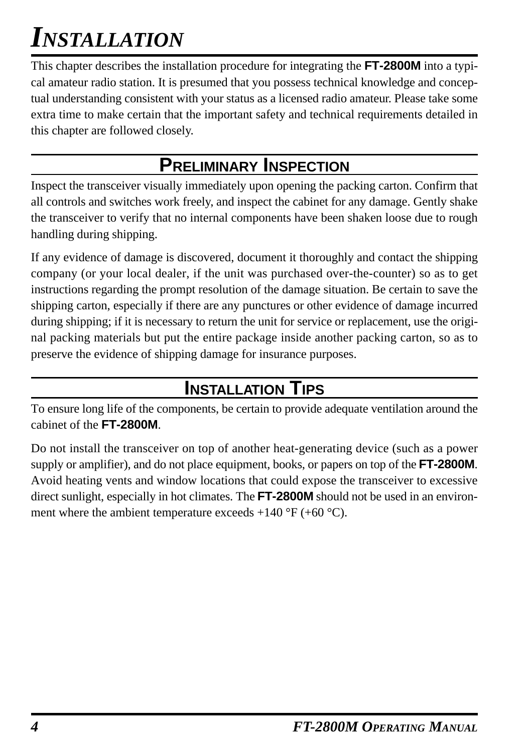## *INSTALLATION*

This chapter describes the installation procedure for integrating the **FT-2800M** into a typical amateur radio station. It is presumed that you possess technical knowledge and conceptual understanding consistent with your status as a licensed radio amateur. Please take some extra time to make certain that the important safety and technical requirements detailed in this chapter are followed closely.

### **PRELIMINARY INSPECTION**

Inspect the transceiver visually immediately upon opening the packing carton. Confirm that all controls and switches work freely, and inspect the cabinet for any damage. Gently shake the transceiver to verify that no internal components have been shaken loose due to rough handling during shipping.

If any evidence of damage is discovered, document it thoroughly and contact the shipping company (or your local dealer, if the unit was purchased over-the-counter) so as to get instructions regarding the prompt resolution of the damage situation. Be certain to save the shipping carton, especially if there are any punctures or other evidence of damage incurred during shipping; if it is necessary to return the unit for service or replacement, use the original packing materials but put the entire package inside another packing carton, so as to preserve the evidence of shipping damage for insurance purposes.

### **INSTALLATION TIPS**

To ensure long life of the components, be certain to provide adequate ventilation around the cabinet of the **FT-2800M**.

Do not install the transceiver on top of another heat-generating device (such as a power supply or amplifier), and do not place equipment, books, or papers on top of the **FT-2800M**. Avoid heating vents and window locations that could expose the transceiver to excessive direct sunlight, especially in hot climates. The **FT-2800M** should not be used in an environment where the ambient temperature exceeds  $+140 \degree F (+60 \degree C)$ .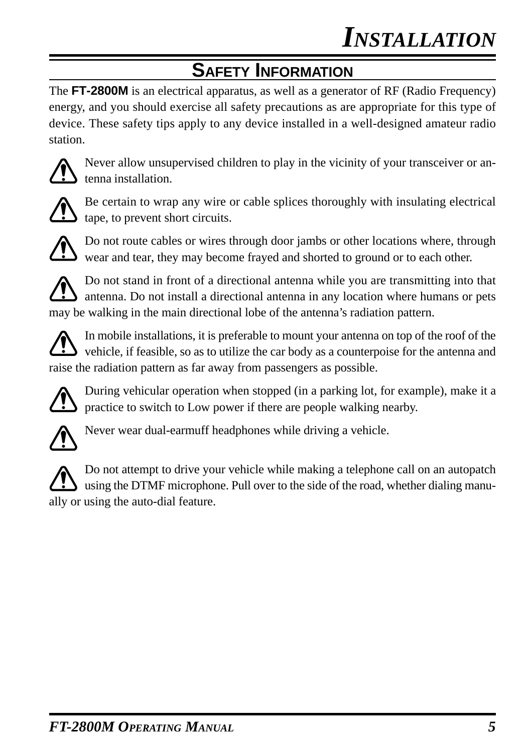## **SAFETY INFORMATION**

The **FT-2800M** is an electrical apparatus, as well as a generator of RF (Radio Frequency) energy, and you should exercise all safety precautions as are appropriate for this type of device. These safety tips apply to any device installed in a well-designed amateur radio station.



Never allow unsupervised children to play in the vicinity of your transceiver or antenna installation.



Be certain to wrap any wire or cable splices thoroughly with insulating electrical tape, to prevent short circuits.



Do not route cables or wires through door jambs or other locations where, through wear and tear, they may become frayed and shorted to ground or to each other.



Do not stand in front of a directional antenna while you are transmitting into that antenna. Do not install a directional antenna in any location where humans or pets may be walking in the main directional lobe of the antenna's radiation pattern.

In mobile installations, it is preferable to mount your antenna on top of the roof of the vehicle, if feasible, so as to utilize the car body as a counterpoise for the antenna and raise the radiation pattern as far away from passengers as possible.



During vehicular operation when stopped (in a parking lot, for example), make it a practice to switch to Low power if there are people walking nearby.



Never wear dual-earmuff headphones while driving a vehicle.

Do not attempt to drive your vehicle while making a telephone call on an autopatch using the DTMF microphone. Pull over to the side of the road, whether dialing manually or using the auto-dial feature.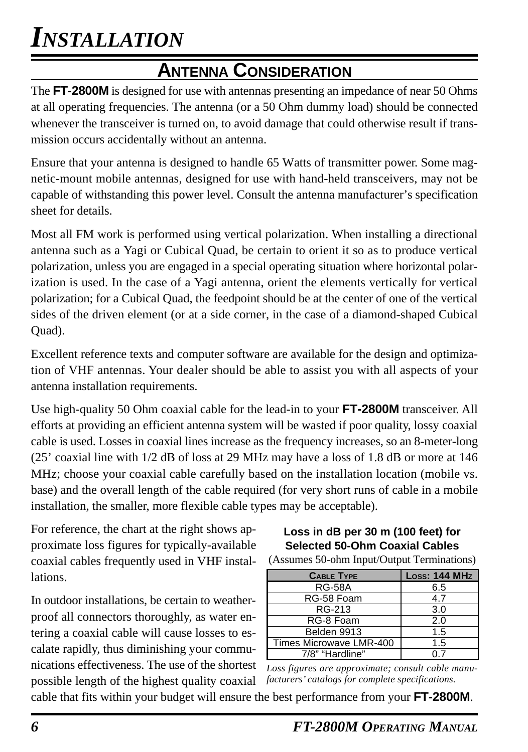## *INSTALLATION*

### **ANTENNA CONSIDERATION**

The **FT-2800M** is designed for use with antennas presenting an impedance of near 50 Ohms at all operating frequencies. The antenna (or a 50 Ohm dummy load) should be connected whenever the transceiver is turned on, to avoid damage that could otherwise result if transmission occurs accidentally without an antenna.

Ensure that your antenna is designed to handle 65 Watts of transmitter power. Some magnetic-mount mobile antennas, designed for use with hand-held transceivers, may not be capable of withstanding this power level. Consult the antenna manufacturer's specification sheet for details.

Most all FM work is performed using vertical polarization. When installing a directional antenna such as a Yagi or Cubical Quad, be certain to orient it so as to produce vertical polarization, unless you are engaged in a special operating situation where horizontal polarization is used. In the case of a Yagi antenna, orient the elements vertically for vertical polarization; for a Cubical Quad, the feedpoint should be at the center of one of the vertical sides of the driven element (or at a side corner, in the case of a diamond-shaped Cubical Quad).

Excellent reference texts and computer software are available for the design and optimization of VHF antennas. Your dealer should be able to assist you with all aspects of your antenna installation requirements.

Use high-quality 50 Ohm coaxial cable for the lead-in to your **FT-2800M** transceiver. All efforts at providing an efficient antenna system will be wasted if poor quality, lossy coaxial cable is used. Losses in coaxial lines increase as the frequency increases, so an 8-meter-long  $(25)$  coaxial line with  $1/2$  dB of loss at 29 MHz may have a loss of 1.8 dB or more at 146 MHz; choose your coaxial cable carefully based on the installation location (mobile vs. base) and the overall length of the cable required (for very short runs of cable in a mobile installation, the smaller, more flexible cable types may be acceptable).

For reference, the chart at the right shows approximate loss figures for typically-available coaxial cables frequently used in VHF installations.

In outdoor installations, be certain to weatherproof all connectors thoroughly, as water entering a coaxial cable will cause losses to escalate rapidly, thus diminishing your communications effectiveness. The use of the shortest possible length of the highest quality coaxial

#### **Loss in dB per 30 m (100 feet) for Selected 50-Ohm Coaxial Cables**

(Assumes 50-ohm Input/Output Terminations)

| <b>CABLE TYPE</b>       | <b>Loss: 144 MHz</b> |
|-------------------------|----------------------|
| <b>RG-58A</b>           | 6.5                  |
| RG-58 Foam              | 4.7                  |
| RG-213                  | 3.0                  |
| RG-8 Foam               | 2.0                  |
| Belden 9913             | 1.5                  |
| Times Microwave LMR-400 | 1.5                  |
| 7/8" "Hardline"         |                      |

*Loss figures are approximate; consult cable manufacturers' catalogs for complete specifications.*

cable that fits within your budget will ensure the best performance from your **FT-2800M**.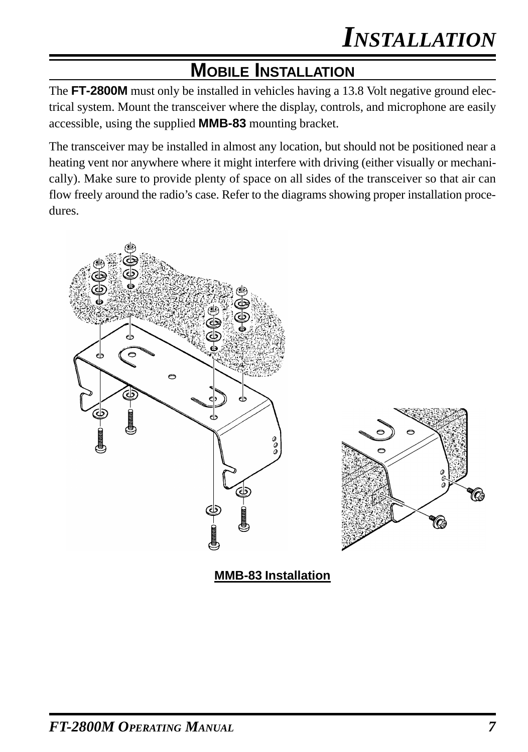## **MOBILE INSTALLATION**

The **FT-2800M** must only be installed in vehicles having a 13.8 Volt negative ground electrical system. Mount the transceiver where the display, controls, and microphone are easily accessible, using the supplied **MMB-83** mounting bracket.

The transceiver may be installed in almost any location, but should not be positioned near a heating vent nor anywhere where it might interfere with driving (either visually or mechanically). Make sure to provide plenty of space on all sides of the transceiver so that air can flow freely around the radio's case. Refer to the diagrams showing proper installation procedures.

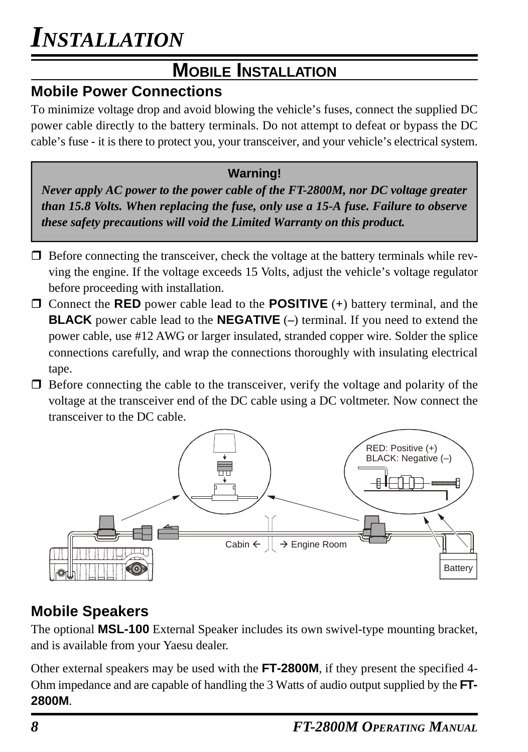## *INSTALLATION*

### **MOBILE INSTALLATION**

### **Mobile Power Connections**

To minimize voltage drop and avoid blowing the vehicle's fuses, connect the supplied DC power cable directly to the battery terminals. Do not attempt to defeat or bypass the DC cable's fuse - it is there to protect you, your transceiver, and your vehicle's electrical system.

### **Warning!**

*Never apply AC power to the power cable of the FT-2800M, nor DC voltage greater than 15.8 Volts. When replacing the fuse, only use a 15-A fuse. Failure to observe these safety precautions will void the Limited Warranty on this product.*

- $\Box$  Before connecting the transceiver, check the voltage at the battery terminals while revving the engine. If the voltage exceeds 15 Volts, adjust the vehicle's voltage regulator before proceeding with installation.
- □ Connect the **RED** power cable lead to the **POSITIVE** (+) battery terminal, and the **BLACK** power cable lead to the **NEGATIVE** (**–**) terminal. If you need to extend the power cable, use #12 AWG or larger insulated, stranded copper wire. Solder the splice connections carefully, and wrap the connections thoroughly with insulating electrical tape.
- $\Box$  Before connecting the cable to the transceiver, verify the voltage and polarity of the voltage at the transceiver end of the DC cable using a DC voltmeter. Now connect the transceiver to the DC cable.



### **Mobile Speakers**

The optional **MSL-100** External Speaker includes its own swivel-type mounting bracket, and is available from your Yaesu dealer.

Other external speakers may be used with the **FT-2800M**, if they present the specified 4- Ohm impedance and are capable of handling the 3 Watts of audio output supplied by the **FT-2800M**.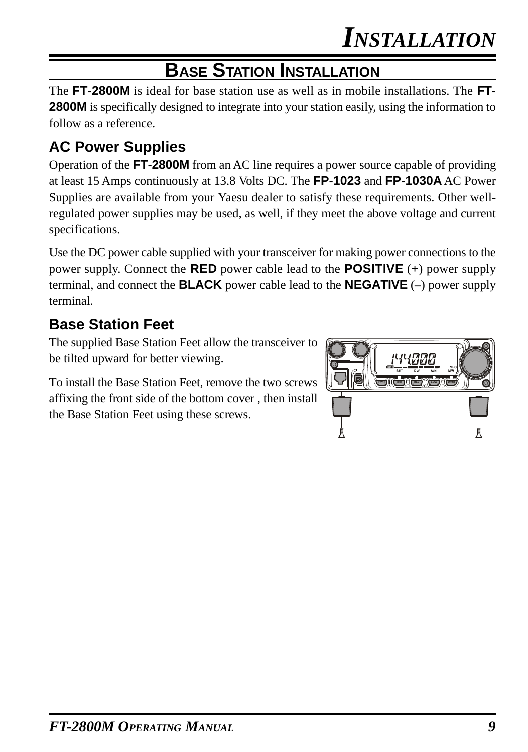## *INSTALLATION*

### **BASE STATION INSTALLATION**

The **FT-2800M** is ideal for base station use as well as in mobile installations. The **FT-2800M** is specifically designed to integrate into your station easily, using the information to follow as a reference.

### **AC Power Supplies**

Operation of the **FT-2800M** from an AC line requires a power source capable of providing at least 15 Amps continuously at 13.8 Volts DC. The **FP-1023** and **FP-1030A** AC Power Supplies are available from your Yaesu dealer to satisfy these requirements. Other wellregulated power supplies may be used, as well, if they meet the above voltage and current specifications.

Use the DC power cable supplied with your transceiver for making power connections to the power supply. Connect the **RED** power cable lead to the **POSITIVE** (**+**) power supply terminal, and connect the **BLACK** power cable lead to the **NEGATIVE** (**–**) power supply terminal.

### **Base Station Feet**

The supplied Base Station Feet allow the transceiver to be tilted upward for better viewing.

To install the Base Station Feet, remove the two screws affixing the front side of the bottom cover , then install the Base Station Feet using these screws.

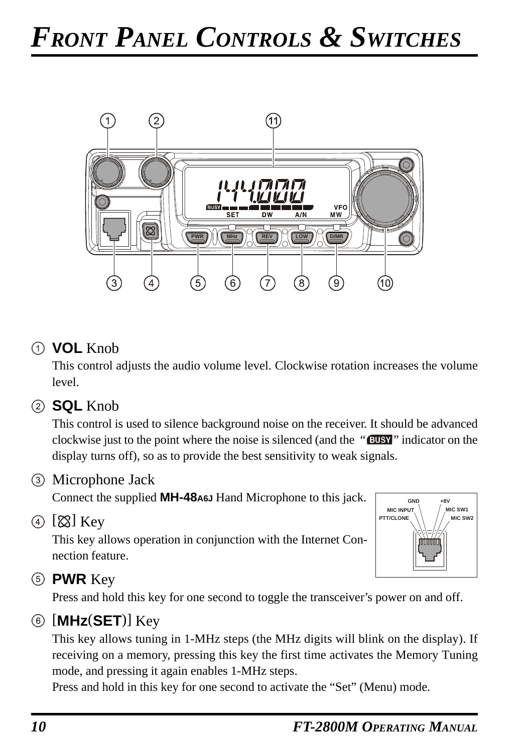## *FRONT PANEL CONTROLS & SWITCHES*



### **VOL** Knob

This control adjusts the audio volume level. Clockwise rotation increases the volume level.

### **SQL** Knob

This control is used to silence background noise on the receiver. It should be advanced clockwise just to the point where the noise is silenced (and the "**EUSY**" indicator on the display turns off), so as to provide the best sensitivity to weak signals.

#### Microphone Jack

Connect the supplied **MH-48A6J** Hand Microphone to this jack.

### $\circ$  [ $\otimes$ ] Key

This key allows operation in conjunction with the Internet Connection feature.



### **PWR** Key

Press and hold this key for one second to toggle the transceiver's power on and off.

### [**MHz**(**SET**)] Key

This key allows tuning in 1-MHz steps (the MHz digits will blink on the display). If receiving on a memory, pressing this key the first time activates the Memory Tuning mode, and pressing it again enables 1-MHz steps.

Press and hold in this key for one second to activate the "Set" (Menu) mode.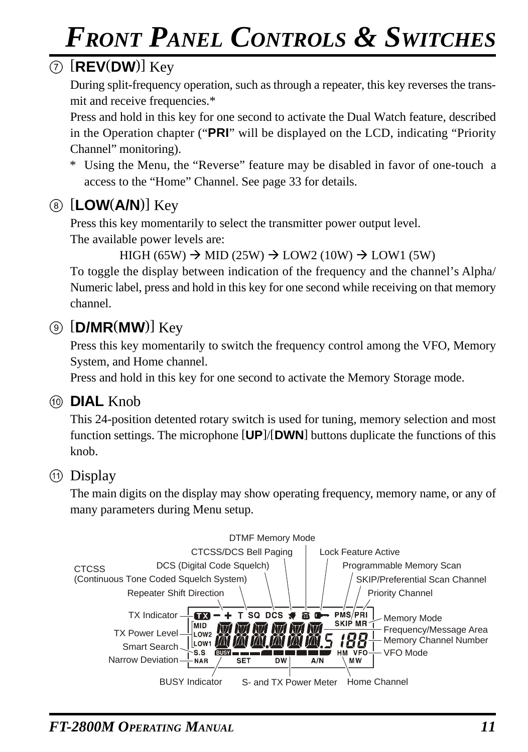## *FRONT PANEL CONTROLS & SWITCHES*

### [**REV**(**DW**)] Key

During split-frequency operation, such as through a repeater, this key reverses the transmit and receive frequencies.\*

Press and hold in this key for one second to activate the Dual Watch feature, described in the Operation chapter ("**PRI**" will be displayed on the LCD, indicating "Priority Channel" monitoring).

\* Using the Menu, the "Reverse" feature may be disabled in favor of one-touch a access to the "Home" Channel. See page 33 for details.

### [**LOW**(**A/N**)] Key

Press this key momentarily to select the transmitter power output level. The available power levels are:

HIGH (65W)  $\rightarrow$  MID (25W)  $\rightarrow$  LOW2 (10W)  $\rightarrow$  LOW1 (5W)

To toggle the display between indication of the frequency and the channel's Alpha/ Numeric label, press and hold in this key for one second while receiving on that memory channel.

### [**D/MR**(**MW**)] Key

Press this key momentarily to switch the frequency control among the VFO, Memory System, and Home channel.

Press and hold in this key for one second to activate the Memory Storage mode.

### **DIAL** Knob

This 24-position detented rotary switch is used for tuning, memory selection and most function settings. The microphone [**UP**]/[**DWN**] buttons duplicate the functions of this knob.

### Display

The main digits on the display may show operating frequency, memory name, or any of many parameters during Menu setup.

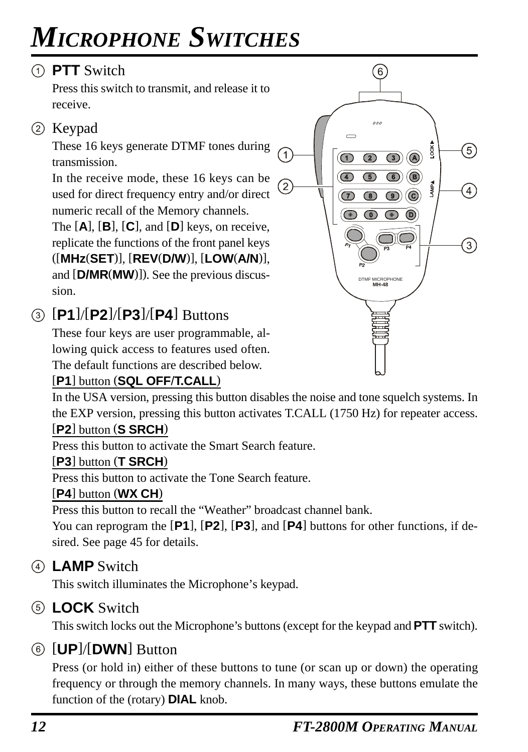## *MICROPHONE SWITCHES*

### **PTT** Switch

Press this switch to transmit, and release it to receive.

### Keypad

These 16 keys generate DTMF tones during transmission.

In the receive mode, these 16 keys can be used for direct frequency entry and/or direct numeric recall of the Memory channels.

The [**A**], [**B**], [**C**], and [**D**] keys, on receive, replicate the functions of the front panel keys ([**MHz**(**SET**)], [**REV**(**D/W**)], [**LOW**(**A/N**)], and [**D/MR**(**MW**)]). See the previous discussion.

## [**P1**]/[**P2**]/[**P3**]/[**P4**] Buttons

These four keys are user programmable, allowing quick access to features used often. The default functions are described below.

### [**P1**] button (**SQL OFF**/**T.CALL**)

DTMF MICROPHONE **MH-48**

In the USA version, pressing this button disables the noise and tone squelch systems. In the EXP version, pressing this button activates T.CALL (1750 Hz) for repeater access.

### [**P2**] button (**S SRCH**)

Press this button to activate the Smart Search feature.

### [**P3**] button (**T SRCH**)

Press this button to activate the Tone Search feature.

### [**P4**] button (**WX CH**)

Press this button to recall the "Weather" broadcast channel bank.

You can reprogram the [**P1**], [**P2**], [**P3**], and [**P4**] buttons for other functions, if desired. See page 45 for details.

### **LAMP** Switch

This switch illuminates the Microphone's keypad.

### **LOCK** Switch

This switch locks out the Microphone's buttons (except for the keypad and **PTT** switch).

### [**UP**]/[**DWN**] Button

Press (or hold in) either of these buttons to tune (or scan up or down) the operating frequency or through the memory channels. In many ways, these buttons emulate the function of the (rotary) **DIAL** knob.

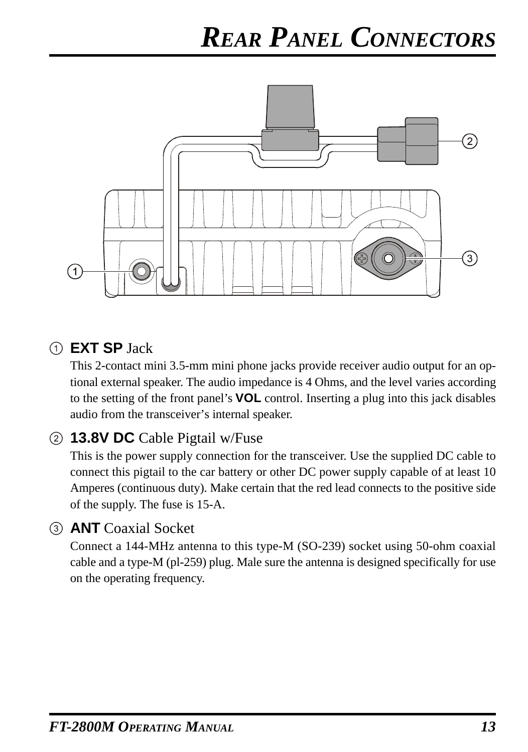## *REAR PANEL CONNECTORS*



### **EXT SP** Jack

This 2-contact mini 3.5-mm mini phone jacks provide receiver audio output for an optional external speaker. The audio impedance is 4 Ohms, and the level varies according to the setting of the front panel's **VOL** control. Inserting a plug into this jack disables audio from the transceiver's internal speaker.

### **13.8V DC** Cable Pigtail w/Fuse

This is the power supply connection for the transceiver. Use the supplied DC cable to connect this pigtail to the car battery or other DC power supply capable of at least 10 Amperes (continuous duty). Make certain that the red lead connects to the positive side of the supply. The fuse is 15-A.

### **ANT** Coaxial Socket

Connect a 144-MHz antenna to this type-M (SO-239) socket using 50-ohm coaxial cable and a type-M (pl-259) plug. Male sure the antenna is designed specifically for use on the operating frequency.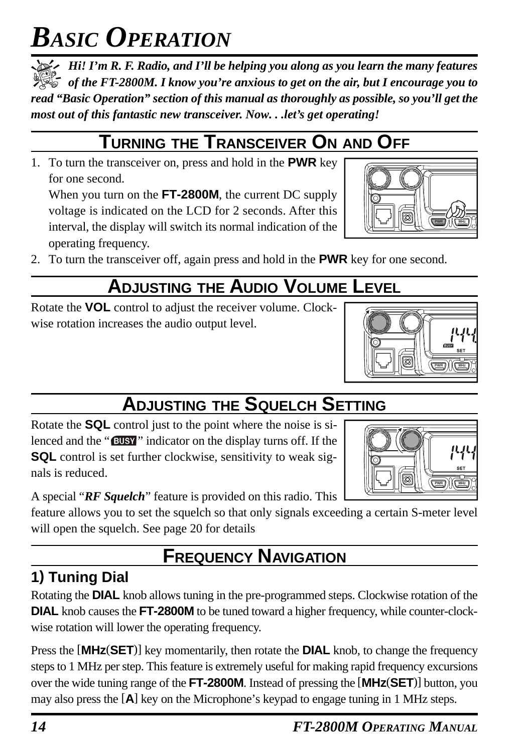## *BASIC OPERATION*

*Hi! I'm R. F. Radio, and I'll be helping you along as you learn the many features of the FT-2800M. I know you're anxious to get on the air, but I encourage you to read "Basic Operation" section of this manual as thoroughly as possible, so you'll get the most out of this fantastic new transceiver. Now. . .let's get operating!*

## **TURNING THE TRANSCEIVER ON AND OFF**

1. To turn the transceiver on, press and hold in the **PWR** key for one second.

When you turn on the **FT-2800M**, the current DC supply voltage is indicated on the LCD for 2 seconds. After this interval, the display will switch its normal indication of the operating frequency.

2. To turn the transceiver off, again press and hold in the **PWR** key for one second.

## **ADJUSTING THE AUDIO VOLUME LEVEL**

Rotate the **VOL** control to adjust the receiver volume. Clockwise rotation increases the audio output level.

## **ADJUSTING THE SQUELCH SETTING**

Rotate the **SQL** control just to the point where the noise is silenced and the "**EUSY**" indicator on the display turns off. If the **SQL** control is set further clockwise, sensitivity to weak signals is reduced.

A special "*RF Squelch*" feature is provided on this radio. This

feature allows you to set the squelch so that only signals exceeding a certain S-meter level will open the squelch. See page 20 for details

**FREQUENCY NAVIGATION**

## **1) Tuning Dial**

Rotating the **DIAL** knob allows tuning in the pre-programmed steps. Clockwise rotation of the **DIAL** knob causes the **FT-2800M** to be tuned toward a higher frequency, while counter-clockwise rotation will lower the operating frequency.

Press the [**MHz**(**SET**)] key momentarily, then rotate the **DIAL** knob, to change the frequency steps to 1 MHz per step. This feature is extremely useful for making rapid frequency excursions over the wide tuning range of the **FT-2800M**. Instead of pressing the [**MHz**(**SET**)] button, you may also press the [**A**] key on the Microphone's keypad to engage tuning in 1 MHz steps.



**PWR MHz**

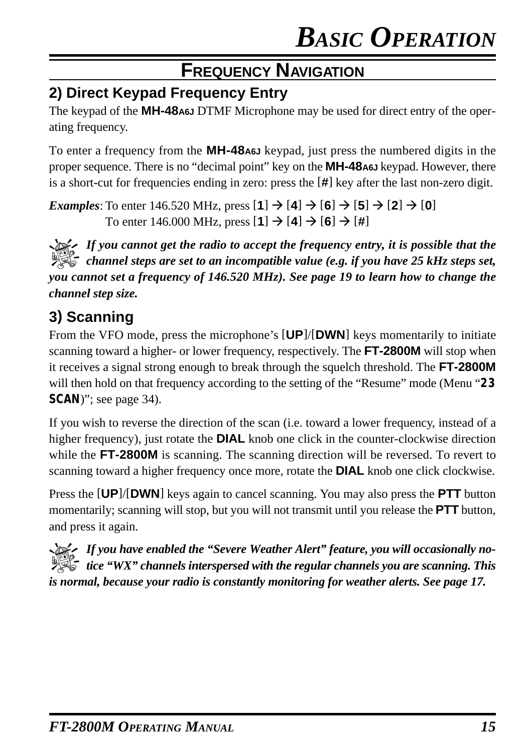## **FREQUENCY NAVIGATION**

### **2) Direct Keypad Frequency Entry**

The keypad of the **MH-48A6J** DTMF Microphone may be used for direct entry of the operating frequency.

To enter a frequency from the **MH-48A6J** keypad, just press the numbered digits in the proper sequence. There is no "decimal point" key on the **MH-48A6J** keypad. However, there is a short-cut for frequencies ending in zero: press the [**#**] key after the last non-zero digit.

*Examples*: To enter 146.520 MHz, press  $[1] \rightarrow [4] \rightarrow [6] \rightarrow [5] \rightarrow [2] \rightarrow [0]$ To enter 146.000 MHz, press  $\begin{bmatrix} 1 \end{bmatrix} \rightarrow \begin{bmatrix} 4 \end{bmatrix} \rightarrow \begin{bmatrix} 6 \end{bmatrix} \rightarrow \begin{bmatrix} \# \end{bmatrix}$ 

*If you cannot get the radio to accept the frequency entry, it is possible that the channel steps are set to an incompatible value (e.g. if you have 25 kHz steps set, you cannot set a frequency of 146.520 MHz). See page 19 to learn how to change the channel step size.*

### **3) Scanning**

From the VFO mode, press the microphone's [**UP**]/[**DWN**] keys momentarily to initiate scanning toward a higher- or lower frequency, respectively. The **FT-2800M** will stop when it receives a signal strong enough to break through the squelch threshold. The **FT-2800M** will then hold on that frequency according to the setting of the "Resume" mode (Menu "**23 SCAN**)"; see page 34).

If you wish to reverse the direction of the scan (i.e. toward a lower frequency, instead of a higher frequency), just rotate the **DIAL** knob one click in the counter-clockwise direction while the **FT-2800M** is scanning. The scanning direction will be reversed. To revert to scanning toward a higher frequency once more, rotate the **DIAL** knob one click clockwise.

Press the [**UP**]/[**DWN**] keys again to cancel scanning. You may also press the **PTT** button momentarily; scanning will stop, but you will not transmit until you release the **PTT** button, and press it again.

*If you have enabled the "Severe Weather Alert" feature, you will occasionally notice "WX" channels interspersed with the regular channels you are scanning. This is normal, because your radio is constantly monitoring for weather alerts. See page 17.*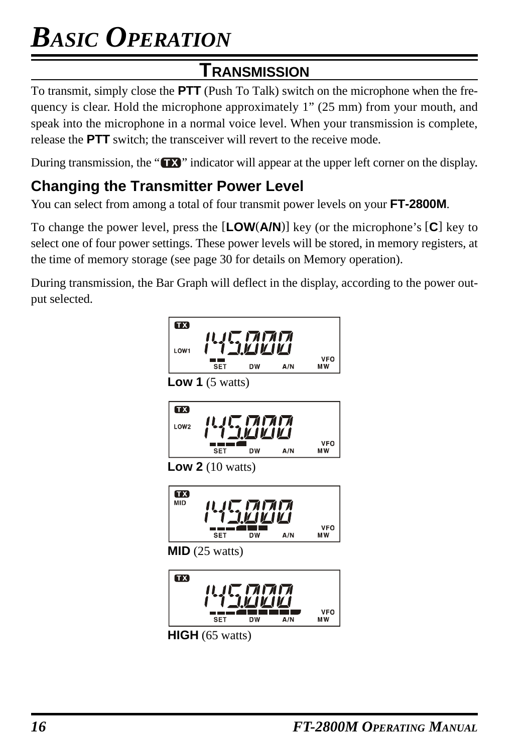## *BASIC OPERATION*

### **TRANSMISSION**

To transmit, simply close the **PTT** (Push To Talk) switch on the microphone when the frequency is clear. Hold the microphone approximately 1" (25 mm) from your mouth, and speak into the microphone in a normal voice level. When your transmission is complete, release the **PTT** switch; the transceiver will revert to the receive mode.

During transmission, the " $\mathbb{Z}$ " indicator will appear at the upper left corner on the display.

### **Changing the Transmitter Power Level**

You can select from among a total of four transmit power levels on your **FT-2800M**.

To change the power level, press the [**LOW**(**A/N**)] key (or the microphone's [**C**] key to select one of four power settings. These power levels will be stored, in memory registers, at the time of memory storage (see page 30 for details on Memory operation).

During transmission, the Bar Graph will deflect in the display, according to the power output selected.

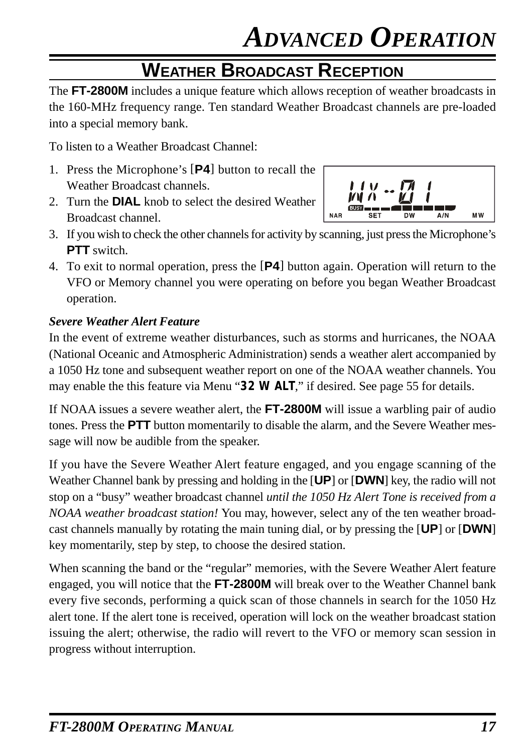## **WEATHER BROADCAST RECEPTION**

The **FT-2800M** includes a unique feature which allows reception of weather broadcasts in the 160-MHz frequency range. Ten standard Weather Broadcast channels are pre-loaded into a special memory bank.

To listen to a Weather Broadcast Channel:

- 1. Press the Microphone's [**P4**] button to recall the Weather Broadcast channels.
- 2. Turn the **DIAL** knob to select the desired Weather Broadcast channel.
- 3. If you wish to check the other channels for activity by scanning, just press the Microphone's **PTT** switch.
- 4. To exit to normal operation, press the [**P4**] button again. Operation will return to the VFO or Memory channel you were operating on before you began Weather Broadcast operation.

#### *Severe Weather Alert Feature*

In the event of extreme weather disturbances, such as storms and hurricanes, the NOAA (National Oceanic and Atmospheric Administration) sends a weather alert accompanied by a 1050 Hz tone and subsequent weather report on one of the NOAA weather channels. You may enable the this feature via Menu "**32 W ALT**," if desired. See page 55 for details.

If NOAA issues a severe weather alert, the **FT-2800M** will issue a warbling pair of audio tones. Press the **PTT** button momentarily to disable the alarm, and the Severe Weather message will now be audible from the speaker.

If you have the Severe Weather Alert feature engaged, and you engage scanning of the Weather Channel bank by pressing and holding in the [**UP**] or [**DWN**] key, the radio will not stop on a "busy" weather broadcast channel *until the 1050 Hz Alert Tone is received from a NOAA weather broadcast station!* You may, however, select any of the ten weather broadcast channels manually by rotating the main tuning dial, or by pressing the [**UP**] or [**DWN**] key momentarily, step by step, to choose the desired station.

When scanning the band or the "regular" memories, with the Severe Weather Alert feature engaged, you will notice that the **FT-2800M** will break over to the Weather Channel bank every five seconds, performing a quick scan of those channels in search for the 1050 Hz alert tone. If the alert tone is received, operation will lock on the weather broadcast station issuing the alert; otherwise, the radio will revert to the VFO or memory scan session in progress without interruption.

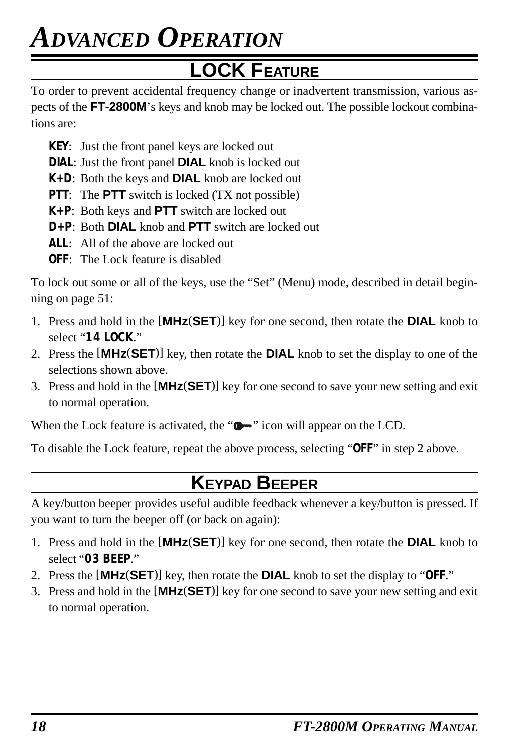## **LOCK FEATURE**

To order to prevent accidental frequency change or inadvertent transmission, various aspects of the **FT-2800M**'s keys and knob may be locked out. The possible lockout combinations are:

- **KEY**: Just the front panel keys are locked out
- **DIAL**: Just the front panel **DIAL** knob is locked out
- **K+D**: Both the keys and **DIAL** knob are locked out
- **PTT**: The **PTT** switch is locked (TX not possible)
- **K+P**: Both keys and **PTT** switch are locked out
- **D+P**: Both **DIAL** knob and **PTT** switch are locked out
- **ALL**: All of the above are locked out
- **OFF**: The Lock feature is disabled

To lock out some or all of the keys, use the "Set" (Menu) mode, described in detail beginning on page 51:

- 1. Press and hold in the [**MHz**(**SET**)] key for one second, then rotate the **DIAL** knob to select "**14 LOCK**."
- 2. Press the [**MHz**(**SET**)] key, then rotate the **DIAL** knob to set the display to one of the selections shown above.
- 3. Press and hold in the [**MHz**(**SET**)] key for one second to save your new setting and exit to normal operation.

When the Lock feature is activated, the " $\bullet$ " icon will appear on the LCD.

To disable the Lock feature, repeat the above process, selecting "**OFF**" in step 2 above.

## **KEYPAD BEEPER**

A key/button beeper provides useful audible feedback whenever a key/button is pressed. If you want to turn the beeper off (or back on again):

- 1. Press and hold in the [**MHz**(**SET**)] key for one second, then rotate the **DIAL** knob to select "**03 BEEP**."
- 2. Press the [**MHz**(**SET**)] key, then rotate the **DIAL** knob to set the display to "**OFF**."
- 3. Press and hold in the [**MHz**(**SET**)] key for one second to save your new setting and exit to normal operation.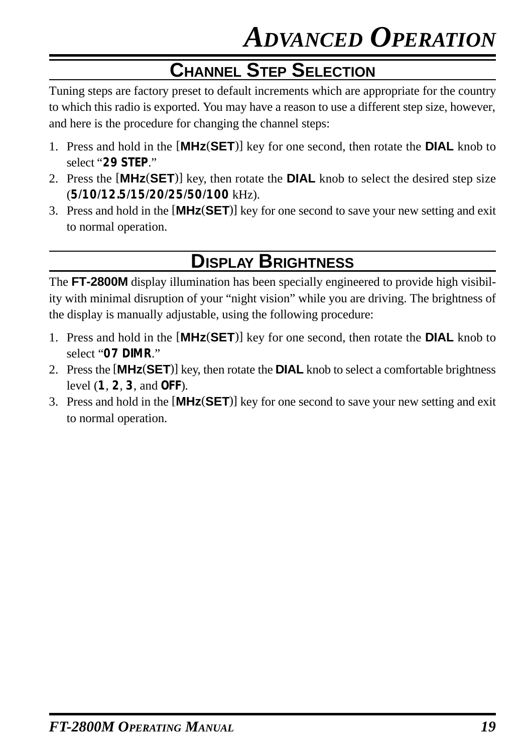## **CHANNEL STEP SELECTION**

Tuning steps are factory preset to default increments which are appropriate for the country to which this radio is exported. You may have a reason to use a different step size, however, and here is the procedure for changing the channel steps:

- 1. Press and hold in the [**MHz**(**SET**)] key for one second, then rotate the **DIAL** knob to select "**29 STEP**."
- 2. Press the [**MHz**(**SET**)] key, then rotate the **DIAL** knob to select the desired step size (**5**/**10**/**12.5**/**15**/**20**/**25**/**50**/**100** kHz).
- 3. Press and hold in the [**MHz**(**SET**)] key for one second to save your new setting and exit to normal operation.

## **DISPLAY BRIGHTNESS**

The **FT-2800M** display illumination has been specially engineered to provide high visibility with minimal disruption of your "night vision" while you are driving. The brightness of the display is manually adjustable, using the following procedure:

- 1. Press and hold in the [**MHz**(**SET**)] key for one second, then rotate the **DIAL** knob to select "**07 DIMR**."
- 2. Press the [**MHz**(**SET**)] key, then rotate the **DIAL** knob to select a comfortable brightness level (**1**, **2**, **3**, and **OFF**).
- 3. Press and hold in the [**MHz**(**SET**)] key for one second to save your new setting and exit to normal operation.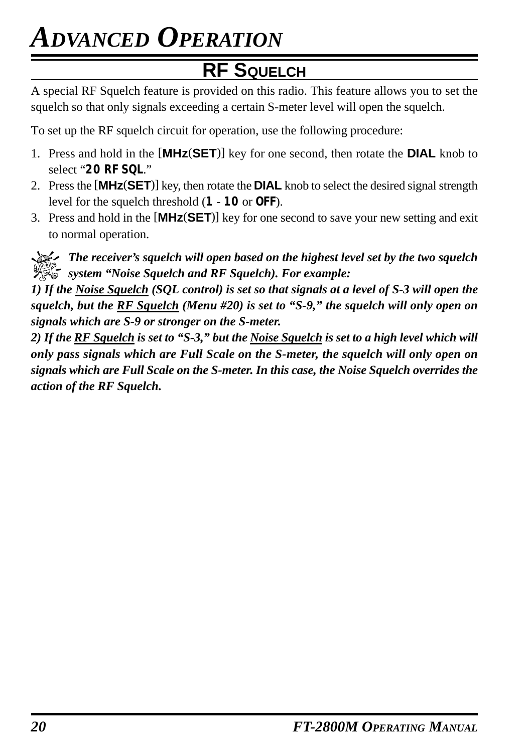### **RF SQUELCH**

A special RF Squelch feature is provided on this radio. This feature allows you to set the squelch so that only signals exceeding a certain S-meter level will open the squelch.

To set up the RF squelch circuit for operation, use the following procedure:

- 1. Press and hold in the [**MHz**(**SET**)] key for one second, then rotate the **DIAL** knob to select "**20 RF SQL**."
- 2. Press the [**MHz**(**SET**)] key, then rotate the **DIAL** knob to select the desired signal strength level for the squelch threshold (**1** - **10** or **OFF**).
- 3. Press and hold in the [**MHz**(**SET**)] key for one second to save your new setting and exit to normal operation.

*1) If the Noise Squelch (SQL control) is set so that signals at a level of S-3 will open the squelch, but the RF Squelch (Menu #20) is set to "S-9," the squelch will only open on signals which are S-9 or stronger on the S-meter.*

*2) If the RF Squelch is set to "S-3," but the Noise Squelch is set to a high level which will only pass signals which are Full Scale on the S-meter, the squelch will only open on signals which are Full Scale on the S-meter. In this case, the Noise Squelch overrides the action of the RF Squelch.*

*The receiver's squelch will open based on the highest level set by the two squelch system "Noise Squelch and RF Squelch). For example:*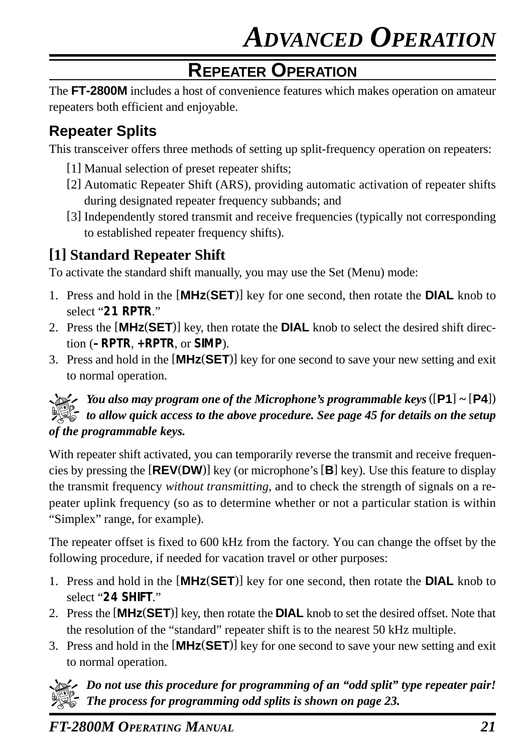## **REPEATER OPERATION**

The **FT-2800M** includes a host of convenience features which makes operation on amateur repeaters both efficient and enjoyable.

### **Repeater Splits**

This transceiver offers three methods of setting up split-frequency operation on repeaters:

- [1] Manual selection of preset repeater shifts;
- [2] Automatic Repeater Shift (ARS), providing automatic activation of repeater shifts during designated repeater frequency subbands; and
- [3] Independently stored transmit and receive frequencies (typically not corresponding to established repeater frequency shifts).

### **[1] Standard Repeater Shift**

To activate the standard shift manually, you may use the Set (Menu) mode:

- 1. Press and hold in the [**MHz**(**SET**)] key for one second, then rotate the **DIAL** knob to select "**21 RPTR**."
- 2. Press the [**MHz**(**SET**)] key, then rotate the **DIAL** knob to select the desired shift direction (**–RPTR**, **+RPTR**, or **SIMP**).
- 3. Press and hold in the [**MHz**(**SET**)] key for one second to save your new setting and exit to normal operation.

### *You also may program one of the Microphone's programmable keys* ([**P1**] *~* [**P4**]) *to allow quick access to the above procedure. See page 45 for details on the setup of the programmable keys.*

With repeater shift activated, you can temporarily reverse the transmit and receive frequencies by pressing the [**REV**(**DW**)] key (or microphone's [**B**] key). Use this feature to display the transmit frequency *without transmitting*, and to check the strength of signals on a repeater uplink frequency (so as to determine whether or not a particular station is within "Simplex" range, for example).

The repeater offset is fixed to 600 kHz from the factory. You can change the offset by the following procedure, if needed for vacation travel or other purposes:

- 1. Press and hold in the [**MHz**(**SET**)] key for one second, then rotate the **DIAL** knob to select "**24 SHIFT**."
- 2. Press the [**MHz**(**SET**)] key, then rotate the **DIAL** knob to set the desired offset. Note that the resolution of the "standard" repeater shift is to the nearest 50 kHz multiple.
- 3. Press and hold in the [**MHz**(**SET**)] key for one second to save your new setting and exit to normal operation.

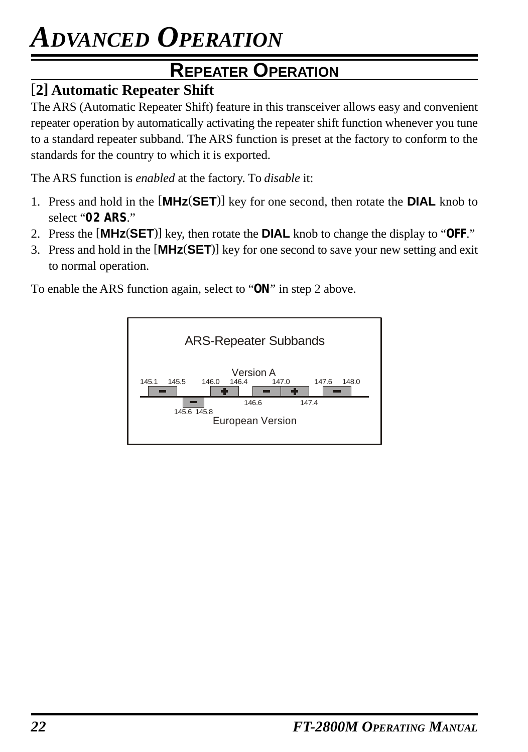## **REPEATER OPERATION**

### [**2] Automatic Repeater Shift**

The ARS (Automatic Repeater Shift) feature in this transceiver allows easy and convenient repeater operation by automatically activating the repeater shift function whenever you tune to a standard repeater subband. The ARS function is preset at the factory to conform to the standards for the country to which it is exported.

The ARS function is *enabled* at the factory. To *disable* it:

- 1. Press and hold in the [**MHz**(**SET**)] key for one second, then rotate the **DIAL** knob to select "**02 ARS**."
- 2. Press the [**MHz**(**SET**)] key, then rotate the **DIAL** knob to change the display to "**OFF**."
- 3. Press and hold in the [**MHz**(**SET**)] key for one second to save your new setting and exit to normal operation.

To enable the ARS function again, select to "**ON**" in step 2 above.

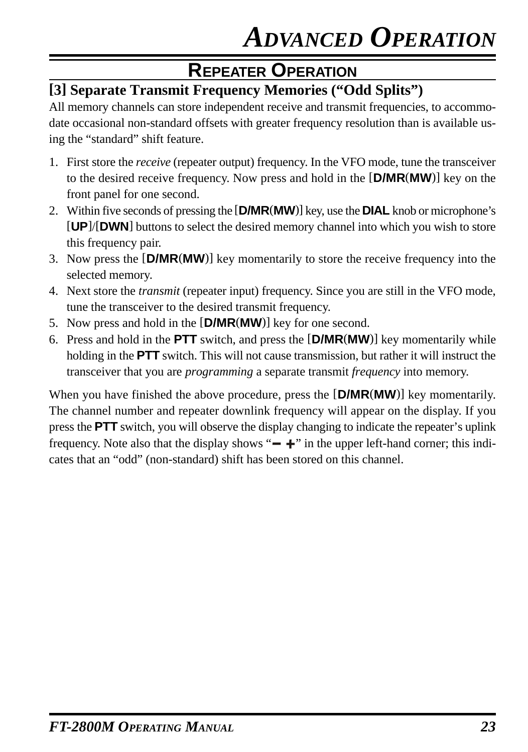## **REPEATER OPERATION**

### **[3] Separate Transmit Frequency Memories ("Odd Splits")**

All memory channels can store independent receive and transmit frequencies, to accommodate occasional non-standard offsets with greater frequency resolution than is available using the "standard" shift feature.

- 1. First store the *receive* (repeater output) frequency. In the VFO mode, tune the transceiver to the desired receive frequency. Now press and hold in the [**D/MR**(**MW**)] key on the front panel for one second.
- 2. Within five seconds of pressing the [**D/MR**(**MW**)] key, use the **DIAL** knob or microphone's [**UP**]/[**DWN**] buttons to select the desired memory channel into which you wish to store this frequency pair.
- 3. Now press the [**D/MR**(**MW**)] key momentarily to store the receive frequency into the selected memory.
- 4. Next store the *transmit* (repeater input) frequency. Since you are still in the VFO mode, tune the transceiver to the desired transmit frequency.
- 5. Now press and hold in the [**D/MR**(**MW**)] key for one second.
- 6. Press and hold in the **PTT** switch, and press the [**D/MR**(**MW**)] key momentarily while holding in the **PTT** switch. This will not cause transmission, but rather it will instruct the transceiver that you are *programming* a separate transmit *frequency* into memory.

When you have finished the above procedure, press the [**D/MR**(**MW**)] key momentarily. The channel number and repeater downlink frequency will appear on the display. If you press the **PTT** switch, you will observe the display changing to indicate the repeater's uplink frequency. Note also that the display shows " $- +$ " in the upper left-hand corner; this indicates that an "odd" (non-standard) shift has been stored on this channel.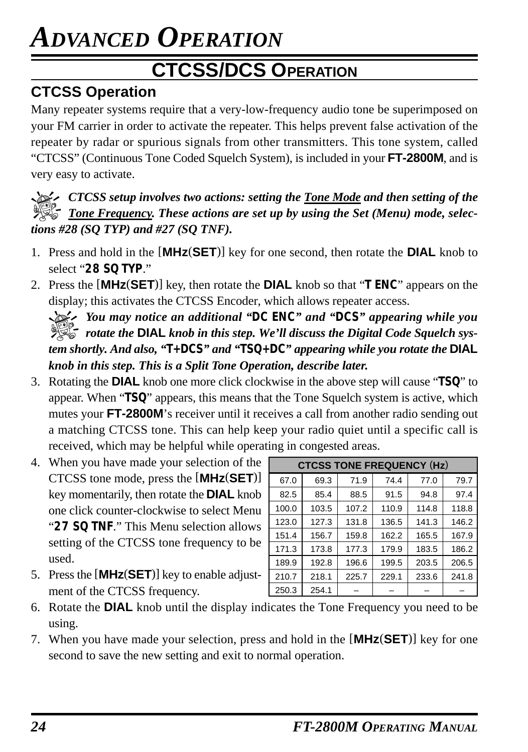## **CTCSS/DCS OPERATION**

### **CTCSS Operation**

Many repeater systems require that a very-low-frequency audio tone be superimposed on your FM carrier in order to activate the repeater. This helps prevent false activation of the repeater by radar or spurious signals from other transmitters. This tone system, called "CTCSS" (Continuous Tone Coded Squelch System), is included in your **FT-2800M**, and is very easy to activate.

### CTCSS setup involves two actions: setting the **Tone Mode** and then setting of the **Tone Frequency.** These actions are set up by using the Set (Menu) mode, selec*tions #28 (SQ TYP) and #27 (SQ TNF).*

- 1. Press and hold in the [**MHz**(**SET**)] key for one second, then rotate the **DIAL** knob to select "**28 SQ TYP**."
- 2. Press the [**MHz**(**SET**)] key, then rotate the **DIAL** knob so that "**T ENC**" appears on the display; this activates the CTCSS Encoder, which allows repeater access.

*You may notice an additional "***DC ENC***" and "***DCS***" appearing while you rotate the* **DIAL** *knob in this step. We'll discuss the Digital Code Squelch system shortly. And also, "***T+DCS***" and "***TSQ+DC***" appearing while you rotate the* **DIAL** *knob in this step. This is a Split Tone Operation, describe later.*

- 3. Rotating the **DIAL** knob one more click clockwise in the above step will cause "**TSQ**" to appear. When "**TSQ**" appears, this means that the Tone Squelch system is active, which mutes your **FT-2800M**'s receiver until it receives a call from another radio sending out a matching CTCSS tone. This can help keep your radio quiet until a specific call is received, which may be helpful while operating in congested areas.
- 4. When you have made your selection of the CTCSS tone mode, press the [**MHz**(**SET**)] key momentarily, then rotate the **DIAL** knob one click counter-clockwise to select Menu "**27 SQ TNF**." This Menu selection allows setting of the CTCSS tone frequency to be used.
- 5. Press the [**MHz**(**SET**)] key to enable adjustment of the CTCSS frequency.

| <b>CTCSS TONE FREQUENCY (Hz)</b> |       |       |       |       |       |  |  |  |  |
|----------------------------------|-------|-------|-------|-------|-------|--|--|--|--|
| 67.0                             | 69.3  | 71.9  | 74.4  | 77.0  | 79.7  |  |  |  |  |
| 82.5                             | 85.4  | 88.5  | 91.5  | 94.8  | 97.4  |  |  |  |  |
| 100.0                            | 103.5 | 107.2 | 110.9 | 114.8 | 118.8 |  |  |  |  |
| 123.0                            | 127.3 | 131.8 | 136.5 | 141.3 | 146.2 |  |  |  |  |
| 151.4                            | 156.7 | 159.8 | 162.2 | 165.5 | 167.9 |  |  |  |  |
| 171.3                            | 173.8 | 177.3 | 179.9 | 183.5 | 186.2 |  |  |  |  |
| 189.9                            | 192.8 | 196.6 | 199.5 | 203.5 | 206.5 |  |  |  |  |
| 210.7                            | 218.1 | 225.7 | 229.1 | 233.6 | 241.8 |  |  |  |  |
| 250.3                            | 254.1 |       |       |       |       |  |  |  |  |

- 6. Rotate the **DIAL** knob until the display indicates the Tone Frequency you need to be using.
- 7. When you have made your selection, press and hold in the [**MHz**(**SET**)] key for one second to save the new setting and exit to normal operation.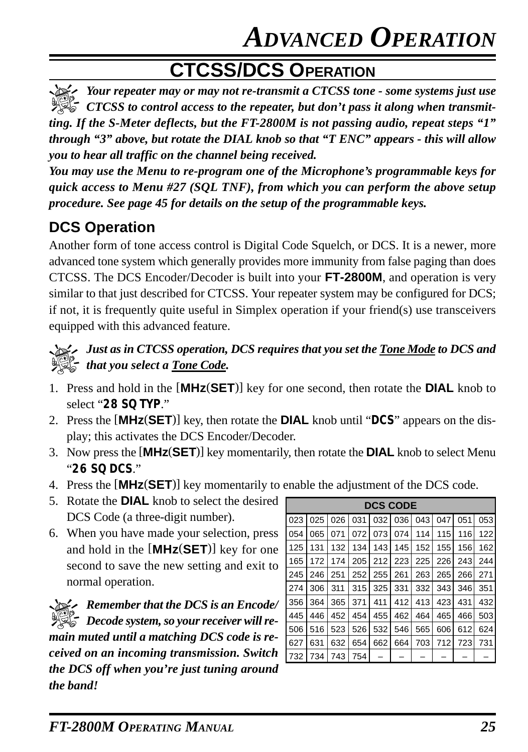## **CTCSS/DCS OPERATION**

*Your repeater may or may not re-transmit a CTCSS tone - some systems just use CTCSS to control access to the repeater, but don't pass it along when transmitting. If the S-Meter deflects, but the FT-2800M is not passing audio, repeat steps "1" through "3" above, but rotate the DIAL knob so that "T ENC" appears - this will allow you to hear all traffic on the channel being received.*

*You may use the Menu to re-program one of the Microphone's programmable keys for quick access to Menu #27 (SQL TNF), from which you can perform the above setup procedure. See page 45 for details on the setup of the programmable keys.*

### **DCS Operation**

Another form of tone access control is Digital Code Squelch, or DCS. It is a newer, more advanced tone system which generally provides more immunity from false paging than does CTCSS. The DCS Encoder/Decoder is built into your **FT-2800M**, and operation is very similar to that just described for CTCSS. Your repeater system may be configured for DCS; if not, it is frequently quite useful in Simplex operation if your friend(s) use transceivers equipped with this advanced feature.



#### *Just as in CTCSS operation, DCS requires that you set the Tone Mode to DCS and* that you select a <u>Tone Code</u>.

- 1. Press and hold in the [**MHz**(**SET**)] key for one second, then rotate the **DIAL** knob to select "**28 SQ TYP**."
- 2. Press the [**MHz**(**SET**)] key, then rotate the **DIAL** knob until "**DCS**" appears on the display; this activates the DCS Encoder/Decoder.
- 3. Now press the [**MHz**(**SET**)] key momentarily, then rotate the **DIAL** knob to select Menu "**26 SQ DCS**."
- 4. Press the [**MHz**(**SET**)] key momentarily to enable the adjustment of the DCS code.
- 5. Rotate the **DIAL** knob to select the desired DCS Code (a three-digit number).
- 6. When you have made your selection, press and hold in the [**MHz**(**SET**)] key for one second to save the new setting and exit to normal operation.

*Remember that the DCS is an Encode/ Decode system, so your receiver will remain muted until a matching DCS code is received on an incoming transmission. Switch the DCS off when you're just tuning around the band!*

| <b>DCS CODE</b> |     |     |     |     |     |     |     |     |     |
|-----------------|-----|-----|-----|-----|-----|-----|-----|-----|-----|
| 023             | 025 | 026 | 031 | 032 | 036 | 043 | 047 | 051 | 053 |
| 054             | 065 | 071 | 072 | 073 | 074 | 114 | 115 | 116 | 122 |
| 125             | 131 | 132 | 134 | 143 | 145 | 152 | 155 | 156 | 162 |
| 165             | 172 | 174 | 205 | 212 | 223 | 225 | 226 | 243 | 244 |
| 245             | 246 | 251 | 252 | 255 | 261 | 263 | 265 | 266 | 271 |
| 274             | 306 | 311 | 315 | 325 | 331 | 332 | 343 | 346 | 351 |
| 356             | 364 | 365 | 371 | 411 | 412 | 413 | 423 | 431 | 432 |
| 445             | 446 | 452 | 454 | 455 | 462 | 464 | 465 | 466 | 503 |
| 506             | 516 | 523 | 526 | 532 | 546 | 565 | 606 | 612 | 624 |
| 627             | 631 | 632 | 654 | 662 | 664 | 703 | 712 | 723 | 731 |
| 732             | 734 | 743 | 754 |     |     |     |     |     |     |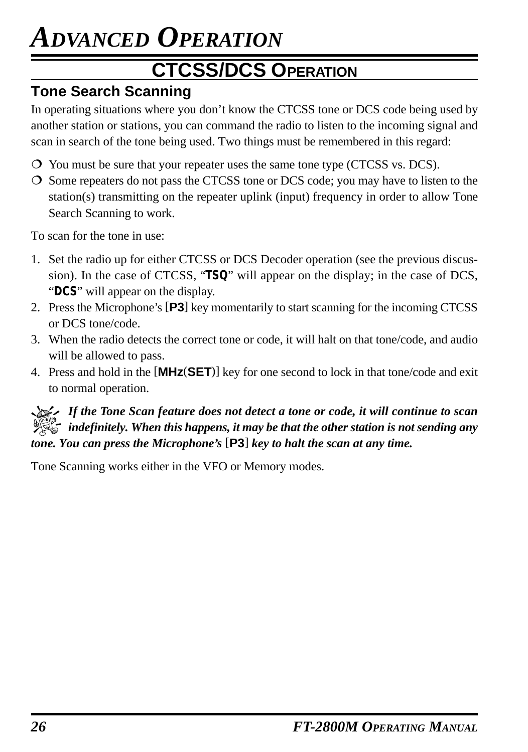## **CTCSS/DCS OPERATION**

### **Tone Search Scanning**

In operating situations where you don't know the CTCSS tone or DCS code being used by another station or stations, you can command the radio to listen to the incoming signal and scan in search of the tone being used. Two things must be remembered in this regard:

- ¶ You must be sure that your repeater uses the same tone type (CTCSS vs. DCS).
- ¶ Some repeaters do not pass the CTCSS tone or DCS code; you may have to listen to the station(s) transmitting on the repeater uplink (input) frequency in order to allow Tone Search Scanning to work.

To scan for the tone in use:

- 1. Set the radio up for either CTCSS or DCS Decoder operation (see the previous discussion). In the case of CTCSS, "**TSQ**" will appear on the display; in the case of DCS, "**DCS**" will appear on the display.
- 2. Press the Microphone's [**P3**] key momentarily to start scanning for the incoming CTCSS or DCS tone/code.
- 3. When the radio detects the correct tone or code, it will halt on that tone/code, and audio will be allowed to pass.
- 4. Press and hold in the [**MHz**(**SET**)] key for one second to lock in that tone/code and exit to normal operation.

### *If the Tone Scan feature does not detect a tone or code, it will continue to scan indefinitely. When this happens, it may be that the other station is not sending any tone. You can press the Microphone's* [**P3**] *key to halt the scan at any time.*

Tone Scanning works either in the VFO or Memory modes.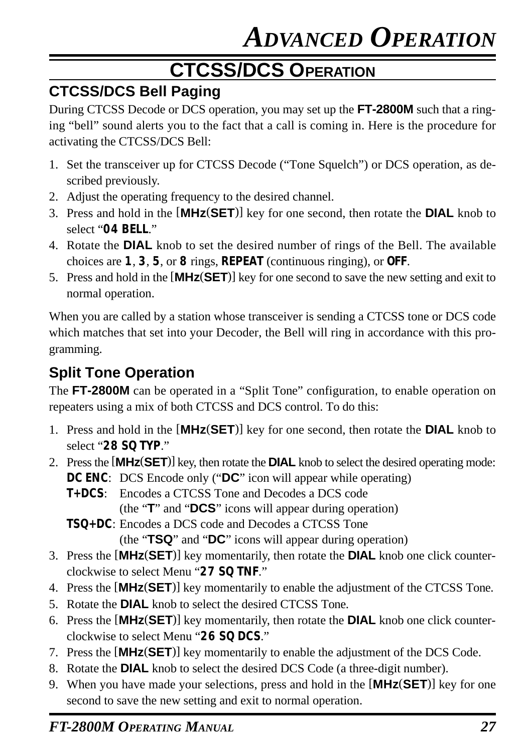## **CTCSS/DCS OPERATION**

### **CTCSS/DCS Bell Paging**

During CTCSS Decode or DCS operation, you may set up the **FT-2800M** such that a ringing "bell" sound alerts you to the fact that a call is coming in. Here is the procedure for activating the CTCSS/DCS Bell:

- 1. Set the transceiver up for CTCSS Decode ("Tone Squelch") or DCS operation, as described previously.
- 2. Adjust the operating frequency to the desired channel.
- 3. Press and hold in the [**MHz**(**SET**)] key for one second, then rotate the **DIAL** knob to select "04 **BELL**."
- 4. Rotate the **DIAL** knob to set the desired number of rings of the Bell. The available choices are **1**, **3**, **5**, or **8** rings, **REPEAT** (continuous ringing), or **OFF**.
- 5. Press and hold in the [**MHz**(**SET**)] key for one second to save the new setting and exit to normal operation.

When you are called by a station whose transceiver is sending a CTCSS tone or DCS code which matches that set into your Decoder, the Bell will ring in accordance with this programming.

### **Split Tone Operation**

The **FT-2800M** can be operated in a "Split Tone" configuration, to enable operation on repeaters using a mix of both CTCSS and DCS control. To do this:

- 1. Press and hold in the [**MHz**(**SET**)] key for one second, then rotate the **DIAL** knob to select "**28 SQ TYP**."
- 2. Press the [**MHz**(**SET**)] key, then rotate the **DIAL** knob to select the desired operating mode: **DC ENC**: DCS Encode only ("**DC**" icon will appear while operating)
	- **T+DCS**: Encodes a CTCSS Tone and Decodes a DCS code (the "**T**" and "**DCS**" icons will appear during operation)
	- **TSQ+DC**: Encodes a DCS code and Decodes a CTCSS Tone (the "**TSQ**" and "**DC**" icons will appear during operation)
- 3. Press the [**MHz**(**SET**)] key momentarily, then rotate the **DIAL** knob one click counterclockwise to select Menu "**27 SQ TNF**."
- 4. Press the [**MHz**(**SET**)] key momentarily to enable the adjustment of the CTCSS Tone.
- 5. Rotate the **DIAL** knob to select the desired CTCSS Tone.
- 6. Press the [**MHz**(**SET**)] key momentarily, then rotate the **DIAL** knob one click counterclockwise to select Menu "**26 SQ DCS**."
- 7. Press the [**MHz**(**SET**)] key momentarily to enable the adjustment of the DCS Code.
- 8. Rotate the **DIAL** knob to select the desired DCS Code (a three-digit number).
- 9. When you have made your selections, press and hold in the [**MHz**(**SET**)] key for one second to save the new setting and exit to normal operation.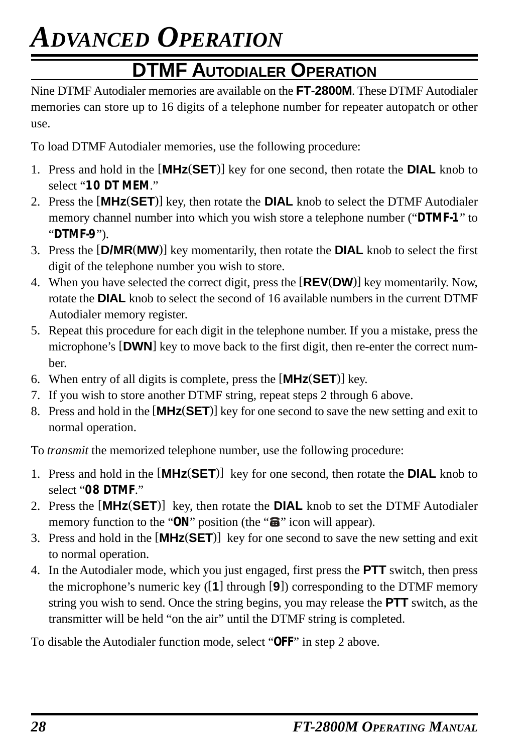### **DTMF AUTODIALER OPERATION**

Nine DTMF Autodialer memories are available on the **FT-2800M**. These DTMF Autodialer memories can store up to 16 digits of a telephone number for repeater autopatch or other use.

To load DTMF Autodialer memories, use the following procedure:

- 1. Press and hold in the [**MHz**(**SET**)] key for one second, then rotate the **DIAL** knob to select "**10 DT MEM**."
- 2. Press the [**MHz**(**SET**)] key, then rotate the **DIAL** knob to select the DTMF Autodialer memory channel number into which you wish store a telephone number ("**DTMF-1**" to "**DTMF-9**").
- 3. Press the [**D/MR**(**MW**)] key momentarily, then rotate the **DIAL** knob to select the first digit of the telephone number you wish to store.
- 4. When you have selected the correct digit, press the [**REV**(**DW**)] key momentarily. Now, rotate the **DIAL** knob to select the second of 16 available numbers in the current DTMF Autodialer memory register.
- 5. Repeat this procedure for each digit in the telephone number. If you a mistake, press the microphone's [**DWN**] key to move back to the first digit, then re-enter the correct number.
- 6. When entry of all digits is complete, press the [**MHz**(**SET**)] key.
- 7. If you wish to store another DTMF string, repeat steps 2 through 6 above.
- 8. Press and hold in the [**MHz**(**SET**)] key for one second to save the new setting and exit to normal operation.

To *transmit* the memorized telephone number, use the following procedure:

- 1. Press and hold in the [**MHz**(**SET**)] key for one second, then rotate the **DIAL** knob to select "**08 DTMF**."
- 2. Press the [**MHz**(**SET**)] key, then rotate the **DIAL** knob to set the DTMF Autodialer memory function to the "ON" position (the " $\mathbf{\widehat{B}}$ " icon will appear).
- 3. Press and hold in the [**MHz**(**SET**)] key for one second to save the new setting and exit to normal operation.
- 4. In the Autodialer mode, which you just engaged, first press the **PTT** switch, then press the microphone's numeric key ([**1**] through [**9**]) corresponding to the DTMF memory string you wish to send. Once the string begins, you may release the **PTT** switch, as the transmitter will be held "on the air" until the DTMF string is completed.

To disable the Autodialer function mode, select "**OFF**" in step 2 above.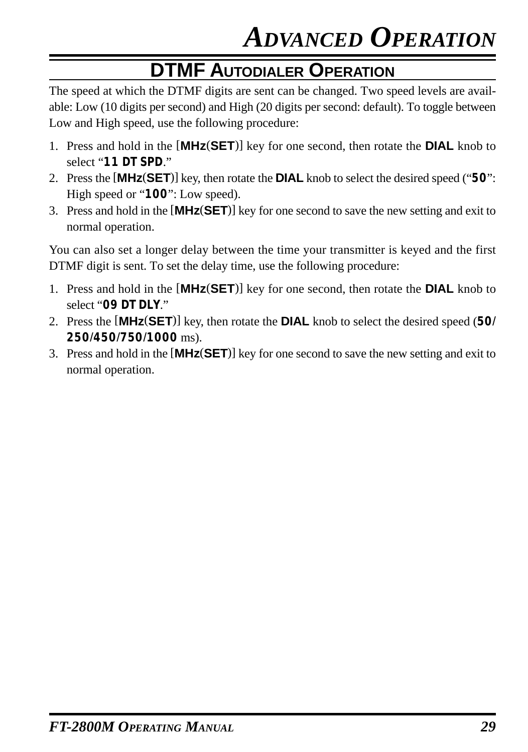## **DTMF AUTODIALER OPERATION**

The speed at which the DTMF digits are sent can be changed. Two speed levels are available: Low (10 digits per second) and High (20 digits per second: default). To toggle between Low and High speed, use the following procedure:

- 1. Press and hold in the [**MHz**(**SET**)] key for one second, then rotate the **DIAL** knob to select "**11 DT SPD**."
- 2. Press the [**MHz**(**SET**)] key, then rotate the **DIAL** knob to select the desired speed ("**50**": High speed or "**100**": Low speed).
- 3. Press and hold in the [**MHz**(**SET**)] key for one second to save the new setting and exit to normal operation.

You can also set a longer delay between the time your transmitter is keyed and the first DTMF digit is sent. To set the delay time, use the following procedure:

- 1. Press and hold in the [**MHz**(**SET**)] key for one second, then rotate the **DIAL** knob to select "**09 DT DLY**."
- 2. Press the [**MHz**(**SET**)] key, then rotate the **DIAL** knob to select the desired speed (**50**/ **250**/**450**/**750**/**1000** ms).
- 3. Press and hold in the [**MHz**(**SET**)] key for one second to save the new setting and exit to normal operation.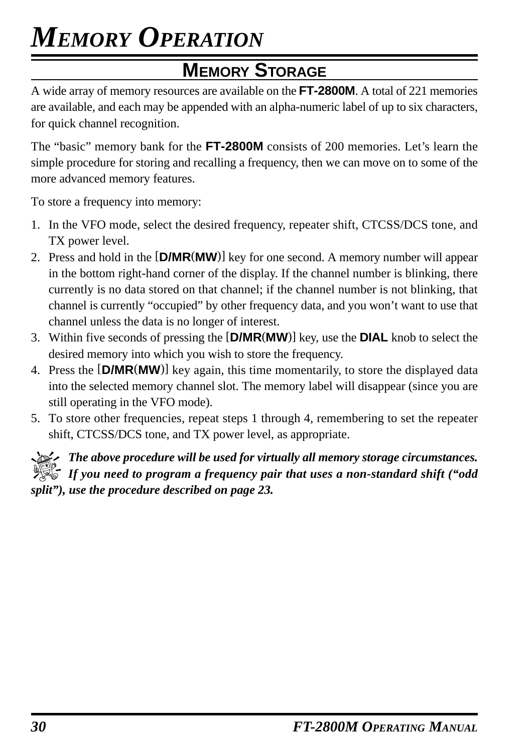## *MEMORY OPERATION*

### **MEMORY STORAGE**

A wide array of memory resources are available on the **FT-2800M**. A total of 221 memories are available, and each may be appended with an alpha-numeric label of up to six characters, for quick channel recognition.

The "basic" memory bank for the **FT-2800M** consists of 200 memories. Let's learn the simple procedure for storing and recalling a frequency, then we can move on to some of the more advanced memory features.

To store a frequency into memory:

- 1. In the VFO mode, select the desired frequency, repeater shift, CTCSS/DCS tone, and TX power level.
- 2. Press and hold in the [**D/MR**(**MW**)] key for one second. A memory number will appear in the bottom right-hand corner of the display. If the channel number is blinking, there currently is no data stored on that channel; if the channel number is not blinking, that channel is currently "occupied" by other frequency data, and you won't want to use that channel unless the data is no longer of interest.
- 3. Within five seconds of pressing the [**D/MR**(**MW**)] key, use the **DIAL** knob to select the desired memory into which you wish to store the frequency.
- 4. Press the [**D/MR**(**MW**)] key again, this time momentarily, to store the displayed data into the selected memory channel slot. The memory label will disappear (since you are still operating in the VFO mode).
- 5. To store other frequencies, repeat steps 1 through 4, remembering to set the repeater shift, CTCSS/DCS tone, and TX power level, as appropriate.

*The above procedure will be used for virtually all memory storage circumstances. If you need to program a frequency pair that uses a non-standard shift ("odd split"), use the procedure described on page 23.*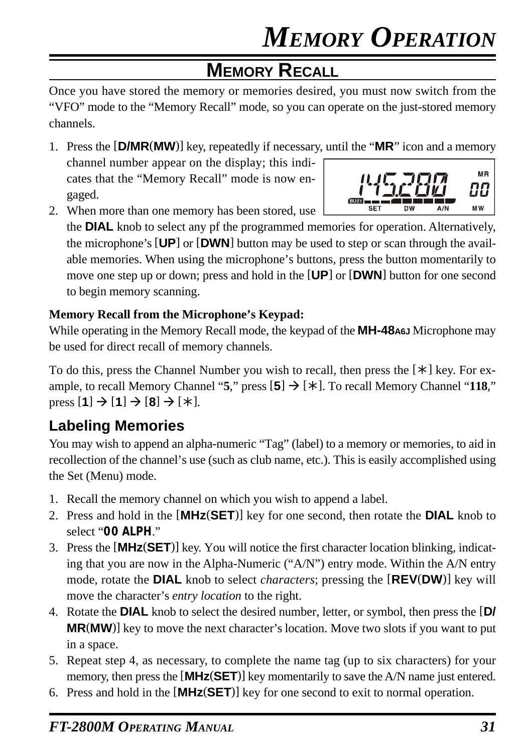## *MEMORY OPERATION*

## **MEMORY RECALL**

Once you have stored the memory or memories desired, you must now switch from the "VFO" mode to the "Memory Recall" mode, so you can operate on the just-stored memory channels.

- 1. Press the [**D/MR**(**MW**)] key, repeatedly if necessary, until the "**MR**" icon and a memory channel number appear on the display; this indicates that the "Memory Recall" mode is now en-
- gaged. 2. When more than one memory has been stored, use



the **DIAL** knob to select any pf the programmed memories for operation. Alternatively, the microphone's [**UP**] or [**DWN**] button may be used to step or scan through the available memories. When using the microphone's buttons, press the button momentarily to move one step up or down; press and hold in the [**UP**] or [**DWN**] button for one second to begin memory scanning.

### **Memory Recall from the Microphone's Keypad:**

While operating in the Memory Recall mode, the keypad of the **MH-48A6J** Microphone may be used for direct recall of memory channels.

To do this, press the Channel Number you wish to recall, then press the  $[\ast]$  key. For example, to recall Memory Channel "5," press  $[5] \rightarrow [*]$ . To recall Memory Channel "118,"  $pres [1] \rightarrow [1] \rightarrow [8] \rightarrow [*].$ 

### **Labeling Memories**

You may wish to append an alpha-numeric "Tag" (label) to a memory or memories, to aid in recollection of the channel's use (such as club name, etc.). This is easily accomplished using the Set (Menu) mode.

- 1. Recall the memory channel on which you wish to append a label.
- 2. Press and hold in the [**MHz**(**SET**)] key for one second, then rotate the **DIAL** knob to select "**00 ALPH**."
- 3. Press the [**MHz**(**SET**)] key. You will notice the first character location blinking, indicating that you are now in the Alpha-Numeric ("A/N") entry mode. Within the A/N entry mode, rotate the **DIAL** knob to select *characters*; pressing the [**REV**(**DW**)] key will move the character's *entry location* to the right.
- 4. Rotate the **DIAL** knob to select the desired number, letter, or symbol, then press the [**D/ MR**(**MW**)] key to move the next character's location. Move two slots if you want to put in a space.
- 5. Repeat step 4, as necessary, to complete the name tag (up to six characters) for your memory, then press the [**MHz**(**SET**)] key momentarily to save the A/N name just entered.
- 6. Press and hold in the [**MHz**(**SET**)] key for one second to exit to normal operation.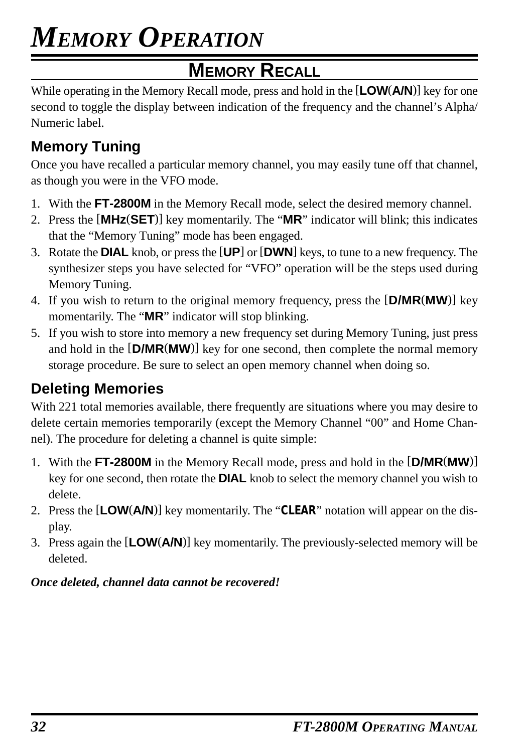## *MEMORY OPERATION*

## **MEMORY RECALL**

While operating in the Memory Recall mode, press and hold in the [**LOW**(**A/N**)] key for one second to toggle the display between indication of the frequency and the channel's Alpha/ Numeric label.

### **Memory Tuning**

Once you have recalled a particular memory channel, you may easily tune off that channel, as though you were in the VFO mode.

- 1. With the **FT-2800M** in the Memory Recall mode, select the desired memory channel.
- 2. Press the [**MHz**(**SET**)] key momentarily. The "**MR**" indicator will blink; this indicates that the "Memory Tuning" mode has been engaged.
- 3. Rotate the **DIAL** knob, or press the [**UP**] or [**DWN**] keys, to tune to a new frequency. The synthesizer steps you have selected for "VFO" operation will be the steps used during Memory Tuning.
- 4. If you wish to return to the original memory frequency, press the [**D/MR**(**MW**)] key momentarily. The "**MR**" indicator will stop blinking.
- 5. If you wish to store into memory a new frequency set during Memory Tuning, just press and hold in the [**D/MR**(**MW**)] key for one second, then complete the normal memory storage procedure. Be sure to select an open memory channel when doing so.

### **Deleting Memories**

With 221 total memories available, there frequently are situations where you may desire to delete certain memories temporarily (except the Memory Channel "00" and Home Channel). The procedure for deleting a channel is quite simple:

- 1. With the **FT-2800M** in the Memory Recall mode, press and hold in the [**D/MR**(**MW**)] key for one second, then rotate the **DIAL** knob to select the memory channel you wish to delete.
- 2. Press the [**LOW**(**A/N**)] key momentarily. The "**CLEAR**" notation will appear on the display.
- 3. Press again the [**LOW**(**A/N**)] key momentarily. The previously-selected memory will be deleted.

### *Once deleted, channel data cannot be recovered!*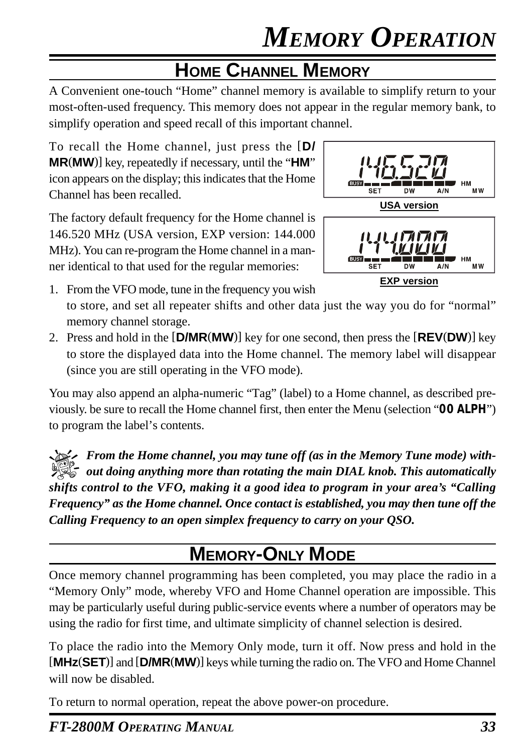## **HOME CHANNEL MEMORY**

A Convenient one-touch "Home" channel memory is available to simplify return to your most-often-used frequency. This memory does not appear in the regular memory bank, to simplify operation and speed recall of this important channel.

To recall the Home channel, just press the [**D/ MR**(**MW**)] key, repeatedly if necessary, until the "**HM**" icon appears on the display; this indicates that the Home Channel has been recalled.

The factory default frequency for the Home channel is 146.520 MHz (USA version, EXP version: 144.000 MHz). You can re-program the Home channel in a manner identical to that used for the regular memories:

- 1. From the VFO mode, tune in the frequency you wish to store, and set all repeater shifts and other data just the way you do for "normal" memory channel storage.
- 2. Press and hold in the [**D/MR**(**MW**)] key for one second, then press the [**REV**(**DW**)] key to store the displayed data into the Home channel. The memory label will disappear (since you are still operating in the VFO mode).

You may also append an alpha-numeric "Tag" (label) to a Home channel, as described previously. be sure to recall the Home channel first, then enter the Menu (selection "**00 ALPH**") to program the label's contents.

From the Home channel, you may tune off (as in the Memory Tune mode) with*out doing anything more than rotating the main DIAL knob. This automatically shifts control to the VFO, making it a good idea to program in your area's "Calling Frequency" as the Home channel. Once contact is established, you may then tune off the Calling Frequency to an open simplex frequency to carry on your QSO.*

## **MEMORY-ONLY MODE**

Once memory channel programming has been completed, you may place the radio in a "Memory Only" mode, whereby VFO and Home Channel operation are impossible. This may be particularly useful during public-service events where a number of operators may be using the radio for first time, and ultimate simplicity of channel selection is desired.

To place the radio into the Memory Only mode, turn it off. Now press and hold in the [**MHz**(**SET**)] and [**D/MR**(**MW**)] keys while turning the radio on. The VFO and Home Channel will now be disabled.

To return to normal operation, repeat the above power-on procedure.



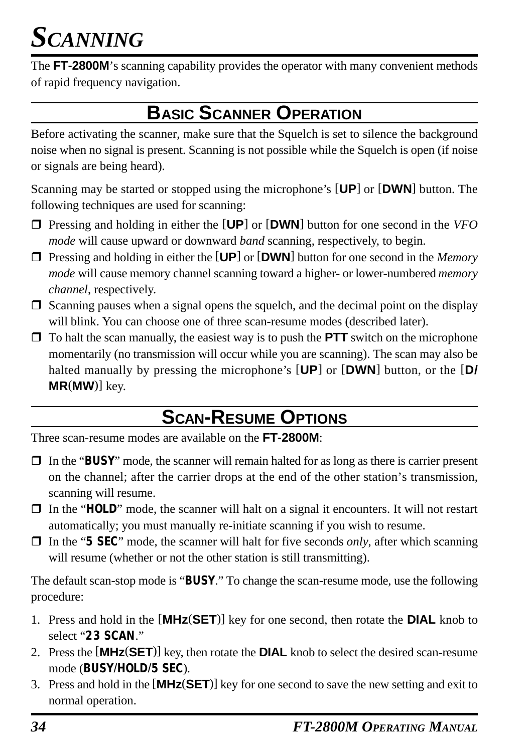## *SCANNING*

The **FT-2800M**'s scanning capability provides the operator with many convenient methods of rapid frequency navigation.

## **BASIC SCANNER OPERATION**

Before activating the scanner, make sure that the Squelch is set to silence the background noise when no signal is present. Scanning is not possible while the Squelch is open (if noise or signals are being heard).

Scanning may be started or stopped using the microphone's [**UP**] or [**DWN**] button. The following techniques are used for scanning:

- □ Pressing and holding in either the **[UP**] or **[DWN**] button for one second in the *VFO mode* will cause upward or downward *band* scanning, respectively, to begin.
- r Pressing and holding in either the [**UP**] or [**DWN**] button for one second in the *Memory mode* will cause memory channel scanning toward a higher- or lower-numbered *memory channel*, respectively.
- $\Box$  Scanning pauses when a signal opens the squelch, and the decimal point on the display will blink. You can choose one of three scan-resume modes (described later).
- $\Box$  To halt the scan manually, the easiest way is to push the **PTT** switch on the microphone momentarily (no transmission will occur while you are scanning). The scan may also be halted manually by pressing the microphone's [**UP**] or [**DWN**] button, or the [**D/ MR**(**MW**)] key.

## **SCAN-RESUME OPTIONS**

Three scan-resume modes are available on the **FT-2800M**:

- $\Box$  In the "**BUSY**" mode, the scanner will remain halted for as long as there is carrier present on the channel; after the carrier drops at the end of the other station's transmission, scanning will resume.
- $\Box$  In the "**HOLD**" mode, the scanner will halt on a signal it encounters. It will not restart automatically; you must manually re-initiate scanning if you wish to resume.
- □ In the "**5 SEC**" mode, the scanner will halt for five seconds *only*, after which scanning will resume (whether or not the other station is still transmitting).

The default scan-stop mode is "**BUSY**." To change the scan-resume mode, use the following procedure:

- 1. Press and hold in the [**MHz**(**SET**)] key for one second, then rotate the **DIAL** knob to select "**23 SCAN**."
- 2. Press the [**MHz**(**SET**)] key, then rotate the **DIAL** knob to select the desired scan-resume mode (**BUSY**/**HOLD**/**5 SEC**).
- 3. Press and hold in the [**MHz**(**SET**)] key for one second to save the new setting and exit to normal operation.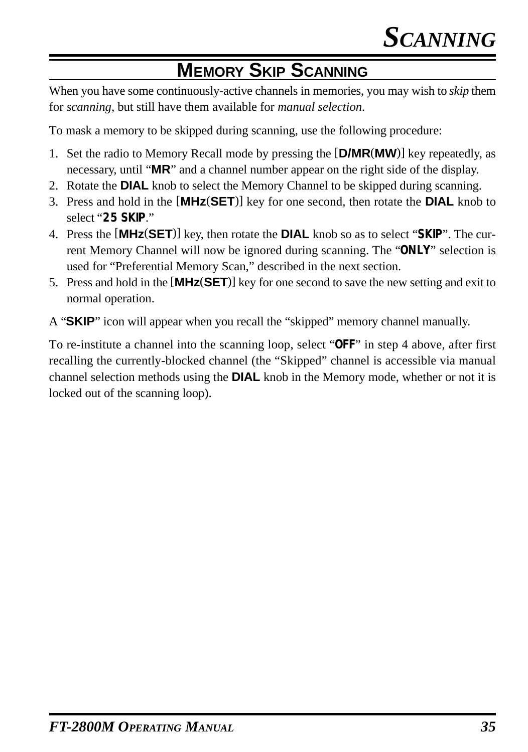## **MEMORY SKIP SCANNING**

When you have some continuously-active channels in memories, you may wish to *skip* them for *scanning*, but still have them available for *manual selection*.

To mask a memory to be skipped during scanning, use the following procedure:

- 1. Set the radio to Memory Recall mode by pressing the [**D/MR**(**MW**)] key repeatedly, as necessary, until "**MR**" and a channel number appear on the right side of the display.
- 2. Rotate the **DIAL** knob to select the Memory Channel to be skipped during scanning.
- 3. Press and hold in the [**MHz**(**SET**)] key for one second, then rotate the **DIAL** knob to select "**25 SKIP**."
- 4. Press the [**MHz**(**SET**)] key, then rotate the **DIAL** knob so as to select "**SKIP**". The current Memory Channel will now be ignored during scanning. The "**ONLY**" selection is used for "Preferential Memory Scan," described in the next section.
- 5. Press and hold in the [**MHz**(**SET**)] key for one second to save the new setting and exit to normal operation.

A "**SKIP**" icon will appear when you recall the "skipped" memory channel manually.

To re-institute a channel into the scanning loop, select "**OFF**" in step 4 above, after first recalling the currently-blocked channel (the "Skipped" channel is accessible via manual channel selection methods using the **DIAL** knob in the Memory mode, whether or not it is locked out of the scanning loop).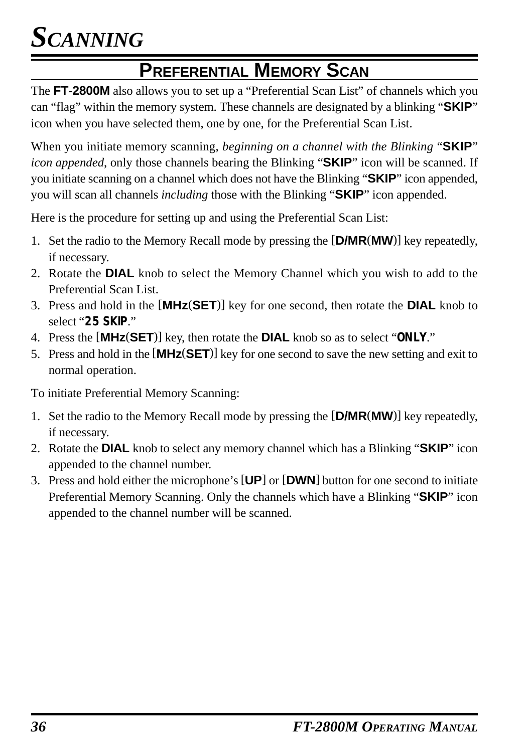### **PREFERENTIAL MEMORY SCAN**

The **FT-2800M** also allows you to set up a "Preferential Scan List" of channels which you can "flag" within the memory system. These channels are designated by a blinking "**SKIP**" icon when you have selected them, one by one, for the Preferential Scan List.

When you initiate memory scanning, *beginning on a channel with the Blinking* "**SKIP**" *icon appended*, only those channels bearing the Blinking "**SKIP**" icon will be scanned. If you initiate scanning on a channel which does not have the Blinking "**SKIP**" icon appended, you will scan all channels *including* those with the Blinking "**SKIP**" icon appended.

Here is the procedure for setting up and using the Preferential Scan List:

- 1. Set the radio to the Memory Recall mode by pressing the [**D/MR**(**MW**)] key repeatedly, if necessary.
- 2. Rotate the **DIAL** knob to select the Memory Channel which you wish to add to the Preferential Scan List.
- 3. Press and hold in the [**MHz**(**SET**)] key for one second, then rotate the **DIAL** knob to select "**25 SKIP**."
- 4. Press the [**MHz**(**SET**)] key, then rotate the **DIAL** knob so as to select "**ONLY**."
- 5. Press and hold in the [**MHz**(**SET**)] key for one second to save the new setting and exit to normal operation.

To initiate Preferential Memory Scanning:

- 1. Set the radio to the Memory Recall mode by pressing the [**D/MR**(**MW**)] key repeatedly, if necessary.
- 2. Rotate the **DIAL** knob to select any memory channel which has a Blinking "**SKIP**" icon appended to the channel number.
- 3. Press and hold either the microphone's [**UP**] or [**DWN**] button for one second to initiate Preferential Memory Scanning. Only the channels which have a Blinking "**SKIP**" icon appended to the channel number will be scanned.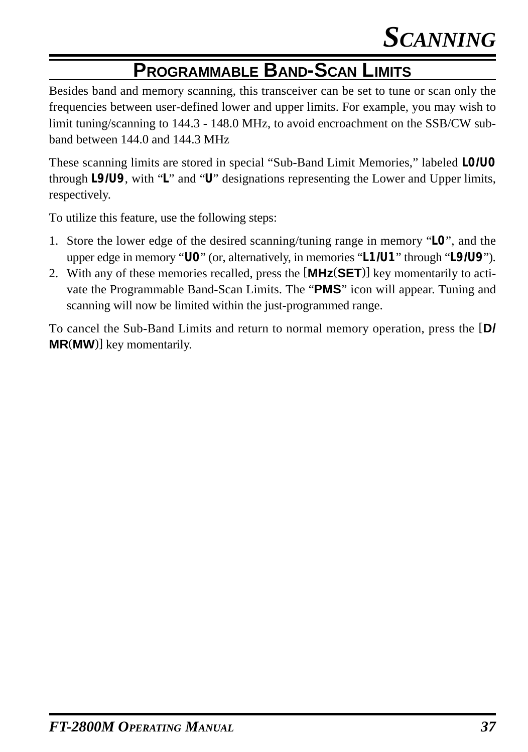### **PROGRAMMABLE BAND-SCAN LIMITS**

Besides band and memory scanning, this transceiver can be set to tune or scan only the frequencies between user-defined lower and upper limits. For example, you may wish to limit tuning/scanning to 144.3 - 148.0 MHz, to avoid encroachment on the SSB/CW subband between 144.0 and 144.3 MHz

These scanning limits are stored in special "Sub-Band Limit Memories," labeled **L0/U0** through **L9/U9**, with "**L**" and "**U**" designations representing the Lower and Upper limits, respectively.

To utilize this feature, use the following steps:

- 1. Store the lower edge of the desired scanning/tuning range in memory "**L0**", and the upper edge in memory "**U0**" (or, alternatively, in memories "**L1/U1**" through "**L9/U9**").
- 2. With any of these memories recalled, press the [**MHz**(**SET**)] key momentarily to activate the Programmable Band-Scan Limits. The "**PMS**" icon will appear. Tuning and scanning will now be limited within the just-programmed range.

To cancel the Sub-Band Limits and return to normal memory operation, press the [**D/ MR**(**MW**)] key momentarily.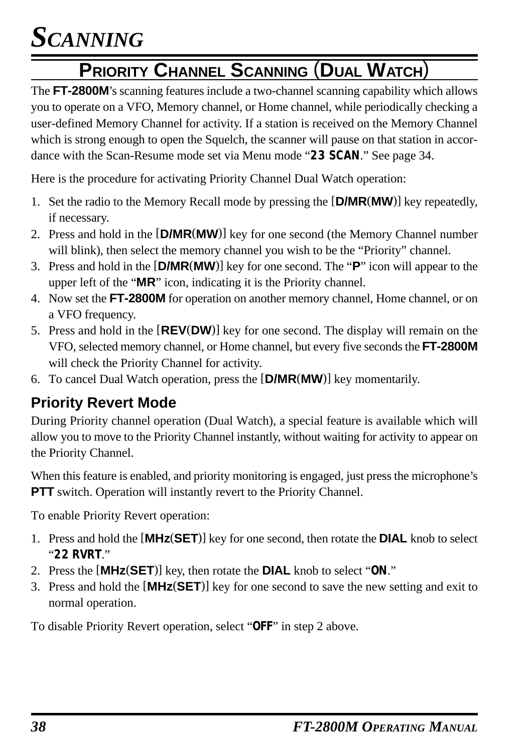## *SCANNING*

## **PRIORITY CHANNEL SCANNING** (**DUAL WATCH**)

The **FT-2800M**'s scanning features include a two-channel scanning capability which allows you to operate on a VFO, Memory channel, or Home channel, while periodically checking a user-defined Memory Channel for activity. If a station is received on the Memory Channel which is strong enough to open the Squelch, the scanner will pause on that station in accordance with the Scan-Resume mode set via Menu mode "**23 SCAN**." See page 34.

Here is the procedure for activating Priority Channel Dual Watch operation:

- 1. Set the radio to the Memory Recall mode by pressing the [**D/MR**(**MW**)] key repeatedly, if necessary.
- 2. Press and hold in the [**D/MR**(**MW**)] key for one second (the Memory Channel number will blink), then select the memory channel you wish to be the "Priority" channel.
- 3. Press and hold in the [**D/MR**(**MW**)] key for one second. The "**P**" icon will appear to the upper left of the "**MR**" icon, indicating it is the Priority channel.
- 4. Now set the **FT-2800M** for operation on another memory channel, Home channel, or on a VFO frequency.
- 5. Press and hold in the [**REV**(**DW**)] key for one second. The display will remain on the VFO, selected memory channel, or Home channel, but every five seconds the **FT-2800M** will check the Priority Channel for activity.
- 6. To cancel Dual Watch operation, press the [**D/MR**(**MW**)] key momentarily.

### **Priority Revert Mode**

During Priority channel operation (Dual Watch), a special feature is available which will allow you to move to the Priority Channel instantly, without waiting for activity to appear on the Priority Channel.

When this feature is enabled, and priority monitoring is engaged, just press the microphone's **PTT** switch. Operation will instantly revert to the Priority Channel.

To enable Priority Revert operation:

- 1. Press and hold the [**MHz**(**SET**)] key for one second, then rotate the **DIAL** knob to select "**22 RVRT**."
- 2. Press the [**MHz**(**SET**)] key, then rotate the **DIAL** knob to select "**ON**."
- 3. Press and hold the [**MHz**(**SET**)] key for one second to save the new setting and exit to normal operation.

To disable Priority Revert operation, select "**OFF**" in step 2 above.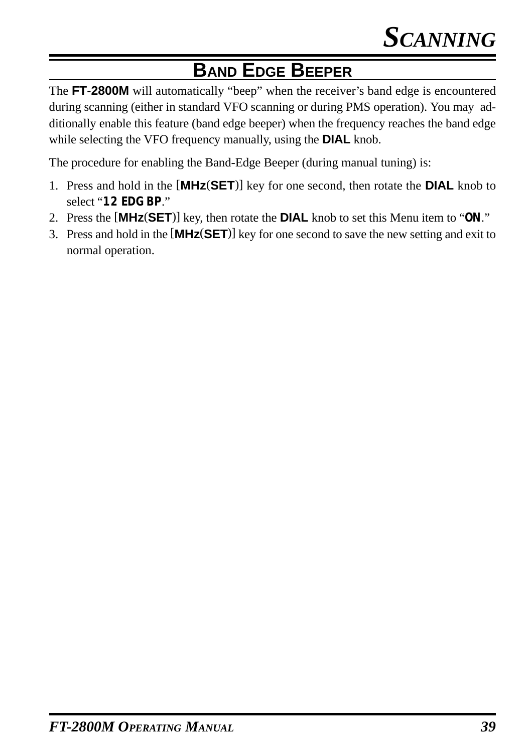## **BAND EDGE BEEPER**

The **FT-2800M** will automatically "beep" when the receiver's band edge is encountered during scanning (either in standard VFO scanning or during PMS operation). You may additionally enable this feature (band edge beeper) when the frequency reaches the band edge while selecting the VFO frequency manually, using the **DIAL** knob.

The procedure for enabling the Band-Edge Beeper (during manual tuning) is:

- 1. Press and hold in the [**MHz**(**SET**)] key for one second, then rotate the **DIAL** knob to select "**12 EDG BP**."
- 2. Press the [**MHz**(**SET**)] key, then rotate the **DIAL** knob to set this Menu item to "**ON**."
- 3. Press and hold in the [**MHz**(**SET**)] key for one second to save the new setting and exit to normal operation.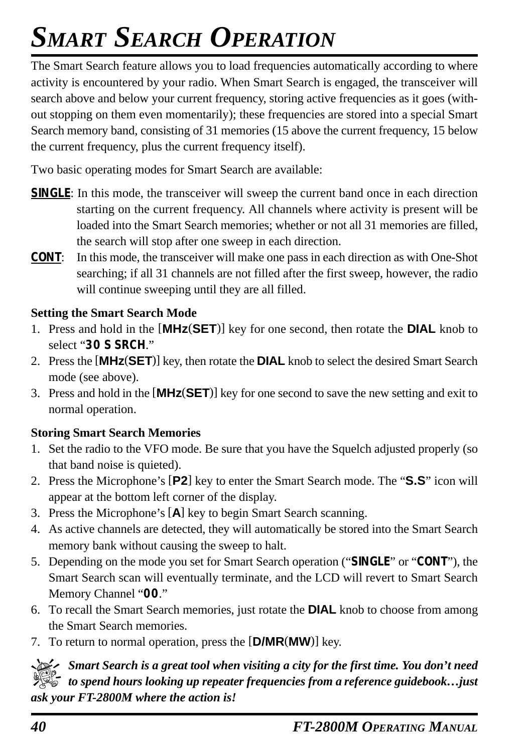## *SMART SEARCH OPERATION*

The Smart Search feature allows you to load frequencies automatically according to where activity is encountered by your radio. When Smart Search is engaged, the transceiver will search above and below your current frequency, storing active frequencies as it goes (without stopping on them even momentarily); these frequencies are stored into a special Smart Search memory band, consisting of 31 memories (15 above the current frequency, 15 below the current frequency, plus the current frequency itself).

Two basic operating modes for Smart Search are available:

- **SINGLE**: In this mode, the transceiver will sweep the current band once in each direction starting on the current frequency. All channels where activity is present will be loaded into the Smart Search memories; whether or not all 31 memories are filled, the search will stop after one sweep in each direction.
- **CONT**: In this mode, the transceiver will make one pass in each direction as with One-Shot searching; if all 31 channels are not filled after the first sweep, however, the radio will continue sweeping until they are all filled.

#### **Setting the Smart Search Mode**

- 1. Press and hold in the [**MHz**(**SET**)] key for one second, then rotate the **DIAL** knob to select "**30 S SRCH**."
- 2. Press the [**MHz**(**SET**)] key, then rotate the **DIAL** knob to select the desired Smart Search mode (see above).
- 3. Press and hold in the [**MHz**(**SET**)] key for one second to save the new setting and exit to normal operation.

### **Storing Smart Search Memories**

- 1. Set the radio to the VFO mode. Be sure that you have the Squelch adjusted properly (so that band noise is quieted).
- 2. Press the Microphone's [**P2**] key to enter the Smart Search mode. The "**S.S**" icon will appear at the bottom left corner of the display.
- 3. Press the Microphone's [**A**] key to begin Smart Search scanning.
- 4. As active channels are detected, they will automatically be stored into the Smart Search memory bank without causing the sweep to halt.
- 5. Depending on the mode you set for Smart Search operation ("**SINGLE**" or "**CONT**"), the Smart Search scan will eventually terminate, and the LCD will revert to Smart Search Memory Channel "**00**."
- 6. To recall the Smart Search memories, just rotate the **DIAL** knob to choose from among the Smart Search memories.
- 7. To return to normal operation, press the [**D/MR**(**MW**)] key.

*Smart Search is a great tool when visiting a city for the first time. You don't need to spend hours looking up repeater frequencies from a reference guidebook…just ask your FT-2800M where the action is!*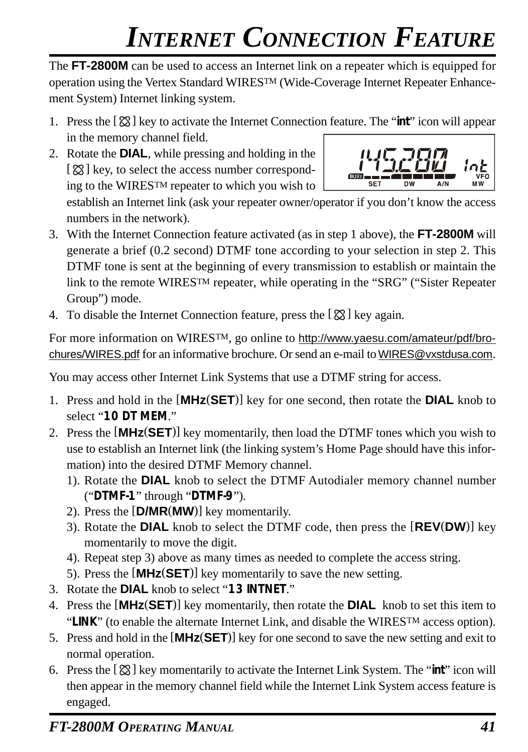## *INTERNET CONNECTION FEATURE*

The **FT-2800M** can be used to access an Internet link on a repeater which is equipped for operation using the Vertex Standard WIRESTM (Wide-Coverage Internet Repeater Enhancement System) Internet linking system.

- 1. Press the  $[\otimes]$  key to activate the Internet Connection feature. The "int" icon will appear in the memory channel field.
- 2. Rotate the **DIAL**, while pressing and holding in the [ $\otimes$ ] key, to select the access number corresponding to the WIRESTM repeater to which you wish to

establish an Internet link (ask your repeater owner/operator if you don't know the access numbers in the network).

- 3. With the Internet Connection feature activated (as in step 1 above), the **FT-2800M** will generate a brief (0.2 second) DTMF tone according to your selection in step 2. This DTMF tone is sent at the beginning of every transmission to establish or maintain the link to the remote WIRESTM repeater, while operating in the "SRG" ("Sister Repeater Group") mode.
- 4. To disable the Internet Connection feature, press the  $\lbrack \otimes \rbrack$  key again.

For more information on WIRESTM, go online to http://www.yaesu.com/amateur/pdf/brochures/WIRES.pdf for an informative brochure. Or send an e-mail to WIRES@vxstdusa.com.

You may access other Internet Link Systems that use a DTMF string for access.

- 1. Press and hold in the [**MHz**(**SET**)] key for one second, then rotate the **DIAL** knob to select "**10 DT MEM**."
- 2. Press the [**MHz**(**SET**)] key momentarily, then load the DTMF tones which you wish to use to establish an Internet link (the linking system's Home Page should have this information) into the desired DTMF Memory channel.
	- 1). Rotate the **DIAL** knob to select the DTMF Autodialer memory channel number ("**DTMF-1**" through "**DTMF-9**").
	- 2). Press the [**D/MR**(**MW**)] key momentarily.
	- 3). Rotate the **DIAL** knob to select the DTMF code, then press the [**REV**(**DW**)] key momentarily to move the digit.
	- 4). Repeat step 3) above as many times as needed to complete the access string.
	- 5). Press the [**MHz**(**SET**)] key momentarily to save the new setting.
- 3. Rotate the **DIAL** knob to select "**13 INTNET**."
- 4. Press the [**MHz**(**SET**)] key momentarily, then rotate the **DIAL** knob to set this item to "**LINK**" (to enable the alternate Internet Link, and disable the WIRESTM access option).
- 5. Press and hold in the [**MHz**(**SET**)] key for one second to save the new setting and exit to normal operation.
- 6. Press the  $\lbrack \otimes \rbrack$  key momentarily to activate the Internet Link System. The "**int**" icon will then appear in the memory channel field while the Internet Link System access feature is engaged.

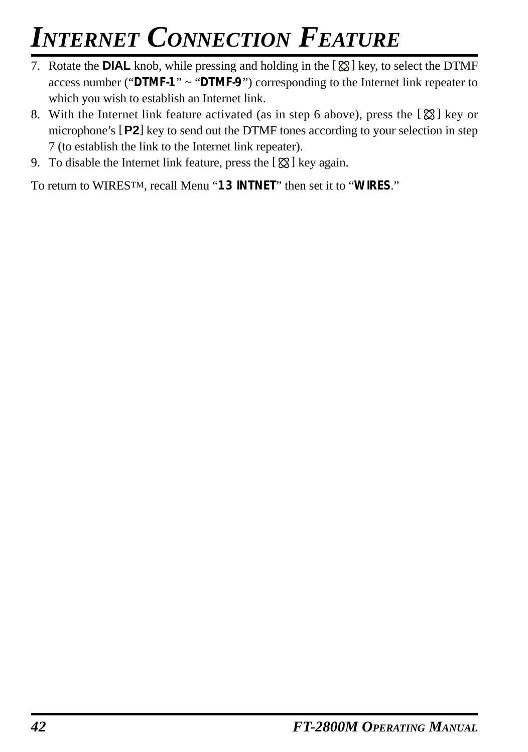## *INTERNET CONNECTION FEATURE*

- 7. Rotate the **DIAL** knob, while pressing and holding in the  $[\&$  key, to select the DTMF access number ("**DTMF-1**" ~ "**DTMF-9**") corresponding to the Internet link repeater to which you wish to establish an Internet link.
- 8. With the Internet link feature activated (as in step 6 above), press the  $\lbrack \mathcal{Z} \rbrack$  key or microphone's [**P2**] key to send out the DTMF tones according to your selection in step 7 (to establish the link to the Internet link repeater).
- 9. To disable the Internet link feature, press the  $\lceil \frac{1}{2} \rceil$  key again.

To return to WIRESTM, recall Menu "**13 INTNET**" then set it to "**WIRES**."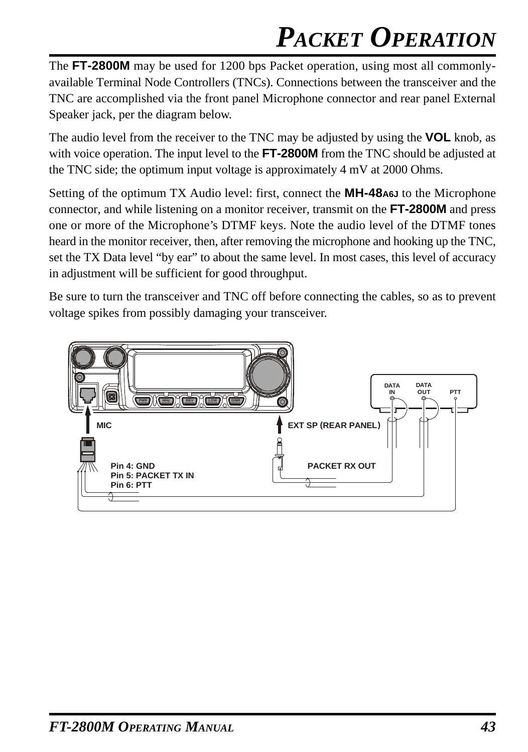## *PACKET OPERATION*

The **FT-2800M** may be used for 1200 bps Packet operation, using most all commonlyavailable Terminal Node Controllers (TNCs). Connections between the transceiver and the TNC are accomplished via the front panel Microphone connector and rear panel External Speaker jack, per the diagram below.

The audio level from the receiver to the TNC may be adjusted by using the **VOL** knob, as with voice operation. The input level to the **FT-2800M** from the TNC should be adjusted at the TNC side; the optimum input voltage is approximately 4 mV at 2000 Ohms.

Setting of the optimum TX Audio level: first, connect the **MH-48A6J** to the Microphone connector, and while listening on a monitor receiver, transmit on the **FT-2800M** and press one or more of the Microphone's DTMF keys. Note the audio level of the DTMF tones heard in the monitor receiver, then, after removing the microphone and hooking up the TNC, set the TX Data level "by ear" to about the same level. In most cases, this level of accuracy in adjustment will be sufficient for good throughput.

Be sure to turn the transceiver and TNC off before connecting the cables, so as to prevent voltage spikes from possibly damaging your transceiver.

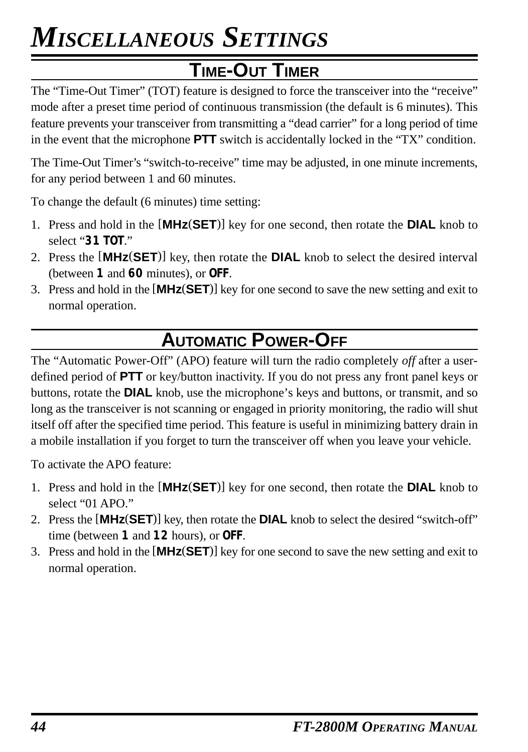## *MISCELLANEOUS SETTINGS*

## **TIME-OUT TIMER**

The "Time-Out Timer" (TOT) feature is designed to force the transceiver into the "receive" mode after a preset time period of continuous transmission (the default is 6 minutes). This feature prevents your transceiver from transmitting a "dead carrier" for a long period of time in the event that the microphone **PTT** switch is accidentally locked in the "TX" condition.

The Time-Out Timer's "switch-to-receive" time may be adjusted, in one minute increments, for any period between 1 and 60 minutes.

To change the default (6 minutes) time setting:

- 1. Press and hold in the [**MHz**(**SET**)] key for one second, then rotate the **DIAL** knob to select "**31 TOT**."
- 2. Press the [**MHz**(**SET**)] key, then rotate the **DIAL** knob to select the desired interval (between **1** and **60** minutes), or **OFF**.
- 3. Press and hold in the [**MHz**(**SET**)] key for one second to save the new setting and exit to normal operation.

### **AUTOMATIC POWER-OFF**

The "Automatic Power-Off" (APO) feature will turn the radio completely *off* after a userdefined period of **PTT** or key/button inactivity. If you do not press any front panel keys or buttons, rotate the **DIAL** knob, use the microphone's keys and buttons, or transmit, and so long as the transceiver is not scanning or engaged in priority monitoring, the radio will shut itself off after the specified time period. This feature is useful in minimizing battery drain in a mobile installation if you forget to turn the transceiver off when you leave your vehicle.

To activate the APO feature:

- 1. Press and hold in the [**MHz**(**SET**)] key for one second, then rotate the **DIAL** knob to select "01 APO."
- 2. Press the [**MHz**(**SET**)] key, then rotate the **DIAL** knob to select the desired "switch-off" time (between **1** and **12** hours), or **OFF**.
- 3. Press and hold in the [**MHz**(**SET**)] key for one second to save the new setting and exit to normal operation.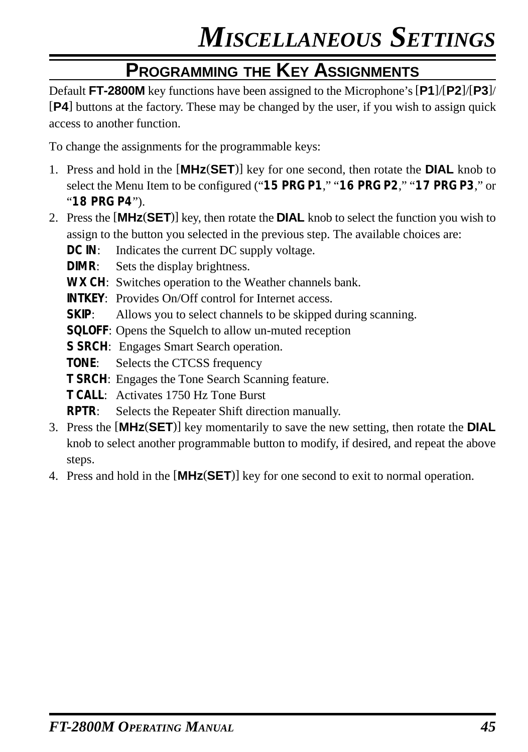## *MISCELLANEOUS SETTINGS*

## **PROGRAMMING THE KEY ASSIGNMENTS**

Default **FT-2800M** key functions have been assigned to the Microphone's [**P1**]/[**P2**]/[**P3**]/ [**P4**] buttons at the factory. These may be changed by the user, if you wish to assign quick access to another function.

To change the assignments for the programmable keys:

- 1. Press and hold in the [**MHz**(**SET**)] key for one second, then rotate the **DIAL** knob to select the Menu Item to be configured ("**15 PRG P1**," "**16 PRG P2**," "**17 PRG P3**," or "**18 PRG P4**").
- 2. Press the [**MHz**(**SET**)] key, then rotate the **DIAL** knob to select the function you wish to assign to the button you selected in the previous step. The available choices are:
	- **DC IN:** Indicates the current DC supply voltage.
	- **DIMR:** Sets the display brightness.
	- **WX CH**: Switches operation to the Weather channels bank.
	- **INTKEY**: Provides On/Off control for Internet access.
	- **SKIP:** Allows you to select channels to be skipped during scanning.
	- **SQLOFF**: Opens the Squelch to allow un-muted reception
	- **S SRCH**: Engages Smart Search operation.
	- **TONE**: Selects the CTCSS frequency
	- **T SRCH**: Engages the Tone Search Scanning feature.
	- **T CALL**: Activates 1750 Hz Tone Burst
	- **RPTR**: Selects the Repeater Shift direction manually.
- 3. Press the [**MHz**(**SET**)] key momentarily to save the new setting, then rotate the **DIAL** knob to select another programmable button to modify, if desired, and repeat the above steps.
- 4. Press and hold in the [**MHz**(**SET**)] key for one second to exit to normal operation.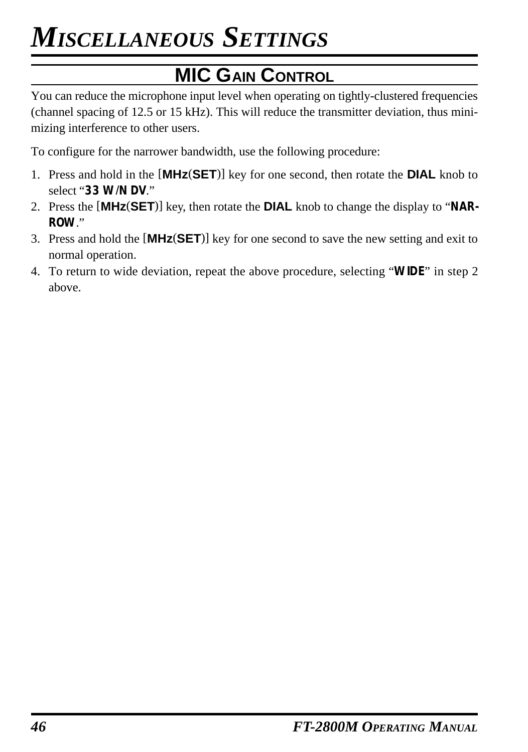## *MISCELLANEOUS SETTINGS*

## **MIC GAIN CONTROL**

You can reduce the microphone input level when operating on tightly-clustered frequencies (channel spacing of 12.5 or 15 kHz). This will reduce the transmitter deviation, thus minimizing interference to other users.

To configure for the narrower bandwidth, use the following procedure:

- 1. Press and hold in the [**MHz**(**SET**)] key for one second, then rotate the **DIAL** knob to select "**33 W**/**N DV**."
- 2. Press the [**MHz**(**SET**)] key, then rotate the **DIAL** knob to change the display to "**NAR-ROW**."
- 3. Press and hold the [**MHz**(**SET**)] key for one second to save the new setting and exit to normal operation.
- 4. To return to wide deviation, repeat the above procedure, selecting "**WIDE**" in step 2 above.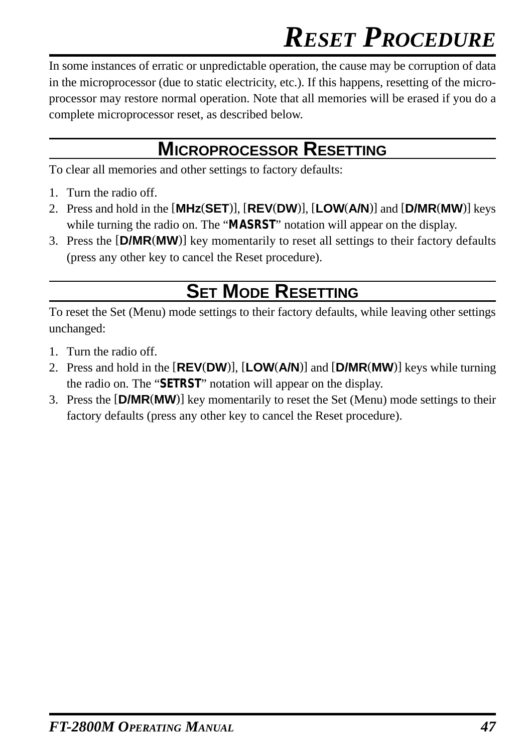## *RESET PROCEDURE*

In some instances of erratic or unpredictable operation, the cause may be corruption of data in the microprocessor (due to static electricity, etc.). If this happens, resetting of the microprocessor may restore normal operation. Note that all memories will be erased if you do a complete microprocessor reset, as described below.

## **MICROPROCESSOR RESETTING**

To clear all memories and other settings to factory defaults:

- 1. Turn the radio off.
- 2. Press and hold in the [**MHz**(**SET**)], [**REV**(**DW**)], [**LOW**(**A/N**)] and [**D/MR**(**MW**)] keys while turning the radio on. The "**MASRST**" notation will appear on the display.
- 3. Press the [**D/MR**(**MW**)] key momentarily to reset all settings to their factory defaults (press any other key to cancel the Reset procedure).

## **SET MODE RESETTING**

To reset the Set (Menu) mode settings to their factory defaults, while leaving other settings unchanged:

- 1. Turn the radio off.
- 2. Press and hold in the [**REV**(**DW**)], [**LOW**(**A/N**)] and [**D/MR**(**MW**)] keys while turning the radio on. The "**SETRST**" notation will appear on the display.
- 3. Press the [**D/MR**(**MW**)] key momentarily to reset the Set (Menu) mode settings to their factory defaults (press any other key to cancel the Reset procedure).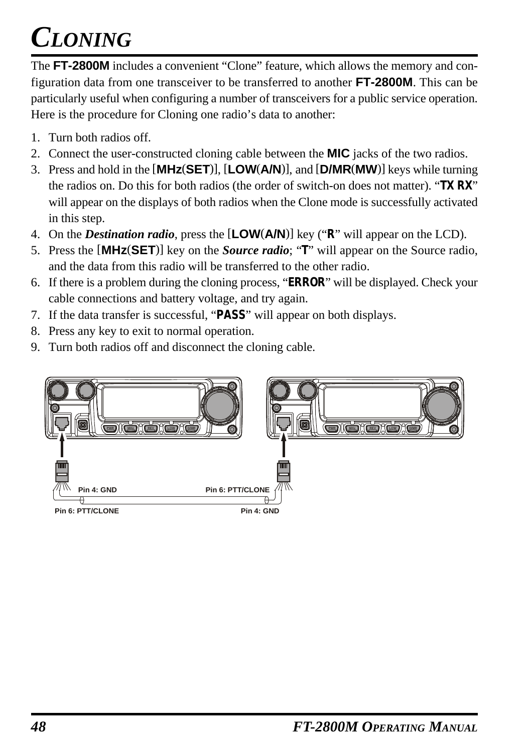## *CLONING*

The **FT-2800M** includes a convenient "Clone" feature, which allows the memory and configuration data from one transceiver to be transferred to another **FT-2800M**. This can be particularly useful when configuring a number of transceivers for a public service operation. Here is the procedure for Cloning one radio's data to another:

- 1. Turn both radios off.
- 2. Connect the user-constructed cloning cable between the **MIC** jacks of the two radios.
- 3. Press and hold in the [**MHz**(**SET**)], [**LOW**(**A/N**)], and [**D/MR**(**MW**)] keys while turning the radios on. Do this for both radios (the order of switch-on does not matter). "**TX RX**" will appear on the displays of both radios when the Clone mode is successfully activated in this step.
- 4. On the *Destination radio*, press the [**LOW**(**A/N**)] key ("**R**" will appear on the LCD).
- 5. Press the [**MHz**(**SET**)] key on the *Source radio*; "**T**" will appear on the Source radio, and the data from this radio will be transferred to the other radio.
- 6. If there is a problem during the cloning process, "**ERROR**" will be displayed. Check your cable connections and battery voltage, and try again.
- 7. If the data transfer is successful, "**PASS**" will appear on both displays.
- 8. Press any key to exit to normal operation.
- 9. Turn both radios off and disconnect the cloning cable.

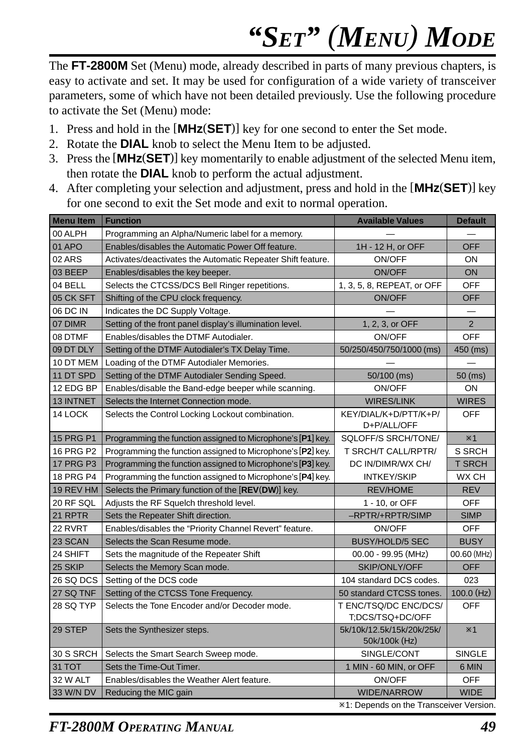## *"SET" (MENU) MODE*

The **FT-2800M** Set (Menu) mode, already described in parts of many previous chapters, is easy to activate and set. It may be used for configuration of a wide variety of transceiver parameters, some of which have not been detailed previously. Use the following procedure to activate the Set (Menu) mode:

- 1. Press and hold in the [**MHz**(**SET**)] key for one second to enter the Set mode.
- 2. Rotate the **DIAL** knob to select the Menu Item to be adjusted.
- 3. Press the [**MHz**(**SET**)] key momentarily to enable adjustment of the selected Menu item, then rotate the **DIAL** knob to perform the actual adjustment.
- 4. After completing your selection and adjustment, press and hold in the [**MHz**(**SET**)] key for one second to exit the Set mode and exit to normal operation.

| <b>Menu Item</b> | <b>Function</b>                                             | <b>Available Values</b>                    | <b>Default</b> |
|------------------|-------------------------------------------------------------|--------------------------------------------|----------------|
| 00 ALPH          | Programming an Alpha/Numeric label for a memory.            |                                            |                |
| 01 APO           | Enables/disables the Automatic Power Off feature.           | 1H - 12 H, or OFF                          | <b>OFF</b>     |
| 02 ARS           | Activates/deactivates the Automatic Repeater Shift feature. | ON/OFF                                     | ON             |
| 03 BEEP          | Enables/disables the key beeper.                            | <b>ON/OFF</b>                              | <b>ON</b>      |
| 04 BELL          | Selects the CTCSS/DCS Bell Ringer repetitions.              | 1, 3, 5, 8, REPEAT, or OFF                 | <b>OFF</b>     |
| 05 CK SFT        | Shifting of the CPU clock frequency.                        | <b>ON/OFF</b>                              | OFF            |
| 06 DC IN         | Indicates the DC Supply Voltage.                            |                                            |                |
| 07 DIMR          | Setting of the front panel display's illumination level.    | 1, 2, 3, or OFF                            | $\overline{2}$ |
| 08 DTMF          | Enables/disables the DTMF Autodialer.                       | ON/OFF                                     | <b>OFF</b>     |
| 09 DT DLY        | Setting of the DTMF Autodialer's TX Delay Time.             | 50/250/450/750/1000 (ms)                   | 450 (ms)       |
| 10 DT MEM        | Loading of the DTMF Autodialer Memories.                    |                                            |                |
| 11 DT SPD        | Setting of the DTMF Autodialer Sending Speed.               | 50/100 (ms)                                | $50$ (ms)      |
| 12 EDG BP        | Enables/disable the Band-edge beeper while scanning.        | ON/OFF                                     | ON             |
| <b>13 INTNET</b> | Selects the Internet Connection mode.                       | <b>WIRES/LINK</b>                          | <b>WIRES</b>   |
| 14 LOCK          | Selects the Control Locking Lockout combination.            | KEY/DIAL/K+D/PTT/K+P/<br>D+P/ALL/OFF       | OFF            |
| <b>15 PRG P1</b> | Programming the function assigned to Microphone's [P1] key. | SQLOFF/S SRCH/TONE/                        | $*1$           |
| 16 PRG P2        | Programming the function assigned to Microphone's [P2] key. | T SRCH/T CALL/RPTR/                        | S SRCH         |
| 17 PRG P3        | Programming the function assigned to Microphone's [P3] key. | DC IN/DIMR/WX CH/                          | <b>T SRCH</b>  |
| <b>18 PRG P4</b> | Programming the function assigned to Microphone's [P4] key. | <b>INTKEY/SKIP</b>                         | WX CH          |
| 19 REV HM        | Selects the Primary function of the [REV(DW)] key.          | <b>REV/HOME</b>                            | <b>REV</b>     |
| 20 RF SQL        | Adjusts the RF Squelch threshold level.                     | 1 - 10, or OFF                             | <b>OFF</b>     |
| 21 RPTR          | Sets the Repeater Shift direction.                          | -RPTR/+RPTR/SIMP                           | <b>SIMP</b>    |
| 22 RVRT          | Enables/disables the "Priority Channel Revert" feature.     | ON/OFF                                     | OFF            |
| 23 SCAN          | Selects the Scan Resume mode.                               | <b>BUSY/HOLD/5 SEC</b>                     | <b>BUSY</b>    |
| 24 SHIFT         | Sets the magnitude of the Repeater Shift                    | $00.00 - 99.95$ (MHz)                      | 00.60 (MHz)    |
| 25 SKIP          | Selects the Memory Scan mode.                               | SKIP/ONLY/OFF                              | <b>OFF</b>     |
| 26 SQ DCS        | Setting of the DCS code                                     | 104 standard DCS codes.                    | 023            |
| 27 SQ TNF        | Setting of the CTCSS Tone Frequency.                        | 50 standard CTCSS tones.                   | $100.0$ (Hz)   |
| 28 SQ TYP        | Selects the Tone Encoder and/or Decoder mode.               | T ENC/TSQ/DC ENC/DCS/<br>T;DCS/TSQ+DC/OFF  | <b>OFF</b>     |
| 29 STEP          | Sets the Synthesizer steps.                                 | 5k/10k/12.5k/15k/20k/25k/<br>50k/100k (Hz) | ×1             |
| 30 S SRCH        | Selects the Smart Search Sweep mode.                        | SINGLE/CONT                                | <b>SINGLE</b>  |
| 31 TOT           | Sets the Time-Out Timer.                                    | 1 MIN - 60 MIN, or OFF                     | 6 MIN          |
| 32 W ALT         | Enables/disables the Weather Alert feature.                 | ON/OFF                                     | <b>OFF</b>     |
| 33 W/N DV        | Reducing the MIC gain                                       | <b>WIDE/NARROW</b>                         | <b>WIDE</b>    |
|                  |                                                             | *1: Depends on the Transceiver Version.    |                |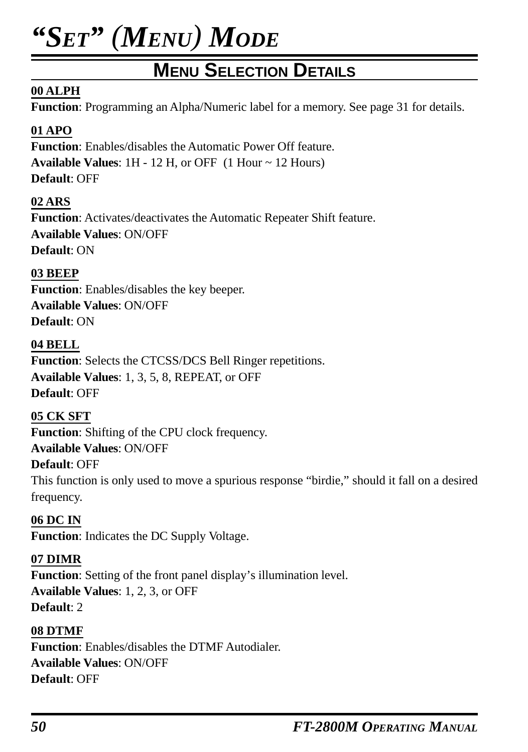## *"SET" (MENU) MODE*

## **MENU SELECTION DETAILS**

#### **00 ALPH**

**Function**: Programming an Alpha/Numeric label for a memory. See page 31 for details.

### **01 APO**

**Function**: Enables/disables the Automatic Power Off feature. **Available Values**: 1H - 12 H, or OFF (1 Hour ~ 12 Hours) **Default**: OFF

#### **02 ARS**

**Function**: Activates/deactivates the Automatic Repeater Shift feature. **Available Values**: ON/OFF **Default**: ON

#### **03 BEEP**

**Function**: Enables/disables the key beeper. **Available Values**: ON/OFF **Default**: ON

#### **04 BELL**

**Function**: Selects the CTCSS/DCS Bell Ringer repetitions. **Available Values**: 1, 3, 5, 8, REPEAT, or OFF **Default**: OFF

#### **05 CK SFT**

**Function**: Shifting of the CPU clock frequency. **Available Values**: ON/OFF

#### **Default**: OFF

This function is only used to move a spurious response "birdie," should it fall on a desired frequency.

### **06 DC IN**

**Function**: Indicates the DC Supply Voltage.

#### **07 DIMR**

**Function**: Setting of the front panel display's illumination level. **Available Values**: 1, 2, 3, or OFF **Default**: 2

#### **08 DTMF**

**Function**: Enables/disables the DTMF Autodialer. **Available Values**: ON/OFF **Default**: OFF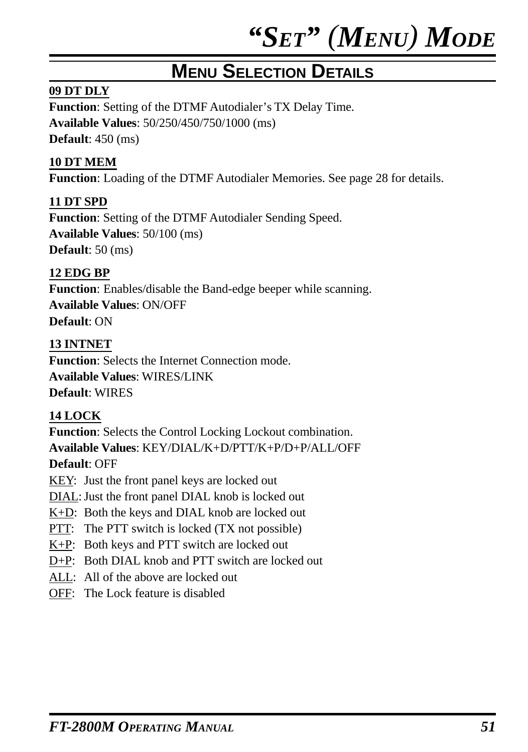## **MENU SELECTION DETAILS**

#### **09 DT DLY**

**Function**: Setting of the DTMF Autodialer's TX Delay Time. **Available Values**: 50/250/450/750/1000 (ms) **Default**: 450 (ms)

#### **10 DT MEM**

**Function**: Loading of the DTMF Autodialer Memories. See page 28 for details.

#### **11 DT SPD**

**Function**: Setting of the DTMF Autodialer Sending Speed. **Available Values**: 50/100 (ms) **Default**: 50 (ms)

#### **12 EDG BP**

**Function**: Enables/disable the Band-edge beeper while scanning. **Available Values**: ON/OFF

**Default**: ON

#### **13 INTNET**

**Function:** Selects the Internet Connection mode. **Available Values**: WIRES/LINK **Default**: WIRES

#### **14 LOCK**

**Function**: Selects the Control Locking Lockout combination. **Available Values**: KEY/DIAL/K+D/PTT/K+P/D+P/ALL/OFF **Default**: OFF

KEY: Just the front panel keys are locked out

DIAL: Just the front panel DIAL knob is locked out

K+D: Both the keys and DIAL knob are locked out

PTT: The PTT switch is locked (TX not possible)

K+P: Both keys and PTT switch are locked out

D+P: Both DIAL knob and PTT switch are locked out

ALL: All of the above are locked out

OFF: The Lock feature is disabled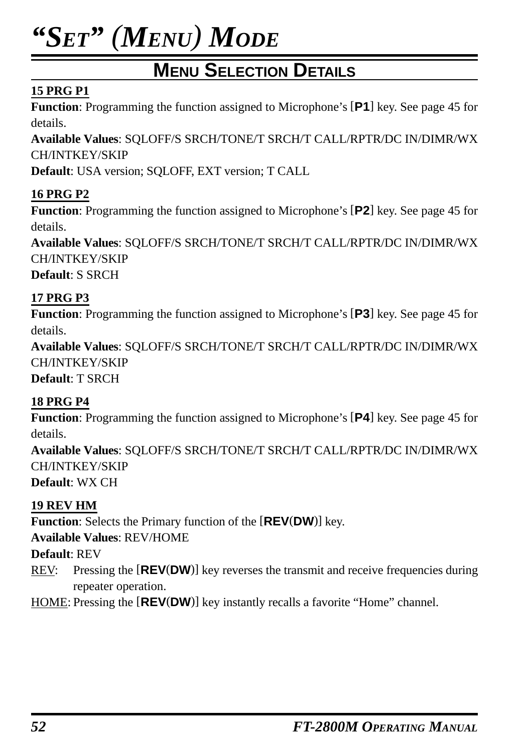## *"SET" (MENU) MODE*

### **MENU SELECTION DETAILS**

### **15 PRG P1**

**Function**: Programming the function assigned to Microphone's [**P1**] key. See page 45 for details.

**Available Values**: SQLOFF/S SRCH/TONE/T SRCH/T CALL/RPTR/DC IN/DIMR/WX CH/INTKEY/SKIP

**Default**: USA version; SQLOFF, EXT version; T CALL

### **16 PRG P2**

**Function**: Programming the function assigned to Microphone's [**P2**] key. See page 45 for details.

**Available Values**: SQLOFF/S SRCH/TONE/T SRCH/T CALL/RPTR/DC IN/DIMR/WX CH/INTKEY/SKIP

**Default**: S SRCH

### **17 PRG P3**

**Function**: Programming the function assigned to Microphone's [**P3**] key. See page 45 for details.

**Available Values**: SQLOFF/S SRCH/TONE/T SRCH/T CALL/RPTR/DC IN/DIMR/WX CH/INTKEY/SKIP

**Default**: T SRCH

### **18 PRG P4**

**Function**: Programming the function assigned to Microphone's [**P4**] key. See page 45 for details.

**Available Values**: SQLOFF/S SRCH/TONE/T SRCH/T CALL/RPTR/DC IN/DIMR/WX CH/INTKEY/SKIP

**Default**: WX CH

#### **19 REV HM**

**Function**: Selects the Primary function of the [**REV**(**DW**)] key.

**Available Values**: REV/HOME

**Default**: REV

- REV: Pressing the [**REV**(**DW**)] key reverses the transmit and receive frequencies during repeater operation.
- HOME: Pressing the [**REV**(**DW**)] key instantly recalls a favorite "Home" channel.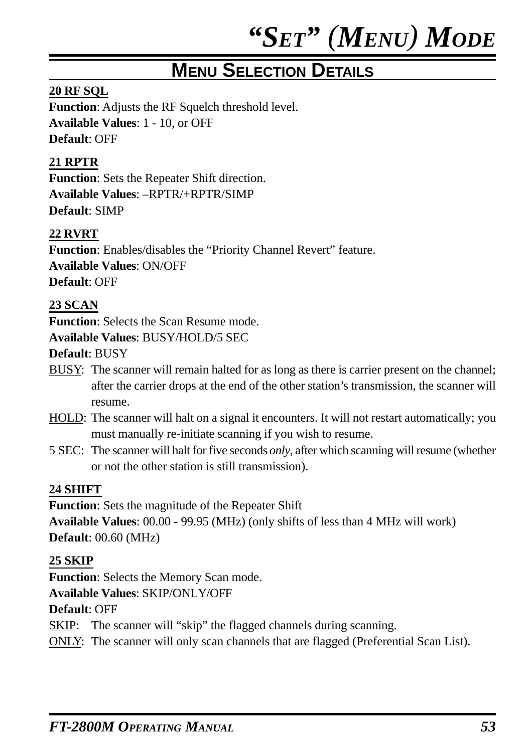## **MENU SELECTION DETAILS**

#### **20 RF SQL**

**Function**: Adjusts the RF Squelch threshold level. **Available Values**: 1 - 10, or OFF **Default**: OFF

#### **21 RPTR**

**Function**: Sets the Repeater Shift direction. **Available Values**: –RPTR/+RPTR/SIMP **Default**: SIMP

#### **22 RVRT**

**Function**: Enables/disables the "Priority Channel Revert" feature. **Available Values**: ON/OFF **Default**: OFF

#### **23 SCAN**

**Function**: Selects the Scan Resume mode.

**Available Values**: BUSY/HOLD/5 SEC

**Default**: BUSY

- BUSY: The scanner will remain halted for as long as there is carrier present on the channel; after the carrier drops at the end of the other station's transmission, the scanner will resume.
- HOLD: The scanner will halt on a signal it encounters. It will not restart automatically; you must manually re-initiate scanning if you wish to resume.
- 5 SEC: The scanner will halt for five seconds *only*, after which scanning will resume (whether or not the other station is still transmission).

#### **24 SHIFT**

**Function**: Sets the magnitude of the Repeater Shift

**Available Values**: 00.00 - 99.95 (MHz) (only shifts of less than 4 MHz will work) **Default**: 00.60 (MHz)

#### **25 SKIP**

**Function**: Selects the Memory Scan mode.

**Available Values**: SKIP/ONLY/OFF

**Default**: OFF

SKIP: The scanner will "skip" the flagged channels during scanning.

ONLY: The scanner will only scan channels that are flagged (Preferential Scan List).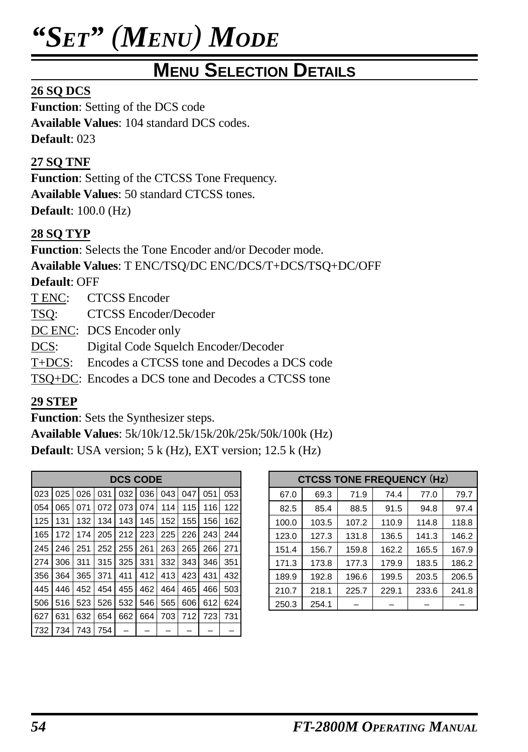## *"SET" (MENU) MODE*

## **MENU SELECTION DETAILS**

#### **26 SQ DCS**

**Function**: Setting of the DCS code **Available Values**: 104 standard DCS codes. **Default**: 023

#### **27 SQ TNF**

**Function**: Setting of the CTCSS Tone Frequency. **Available Values**: 50 standard CTCSS tones. **Default**: 100.0 (Hz)

#### **28 SQ TYP**

**Function**: Selects the Tone Encoder and/or Decoder mode. **Available Values**: T ENC/TSQ/DC ENC/DCS/T+DCS/TSQ+DC/OFF **Default**: OFF T ENC: CTCSS Encoder TSQ: CTCSS Encoder/Decoder DC ENC: DCS Encoder only DCS: Digital Code Squelch Encoder/Decoder T+DCS: Encodes a CTCSS tone and Decodes a DCS code TSQ+DC: Encodes a DCS tone and Decodes a CTCSS tone

#### **29 STEP**

**Function**: Sets the Synthesizer steps.

**Available Values**: 5k/10k/12.5k/15k/20k/25k/50k/100k (Hz)

**Default**: USA version; 5 k (Hz), EXT version; 12.5 k (Hz)

|     | <b>DCS CODE</b> |     |     |     |     |     |     |     |     |
|-----|-----------------|-----|-----|-----|-----|-----|-----|-----|-----|
| 023 | 025             | 026 | 031 | 032 | 036 | 043 | 047 | 051 | 053 |
| 054 | 065             | 071 | 072 | 073 | 074 | 114 | 115 | 116 | 122 |
| 125 | 131             | 132 | 134 | 143 | 145 | 152 | 155 | 156 | 162 |
| 165 | 172             | 174 | 205 | 212 | 223 | 225 | 226 | 243 | 244 |
| 245 | 246             | 251 | 252 | 255 | 261 | 263 | 265 | 266 | 271 |
| 274 | 306             | 311 | 315 | 325 | 331 | 332 | 343 | 346 | 351 |
| 356 | 364             | 365 | 371 | 411 | 412 | 413 | 423 | 431 | 432 |
| 445 | 446             | 452 | 454 | 455 | 462 | 464 | 465 | 466 | 503 |
| 506 | 516             | 523 | 526 | 532 | 546 | 565 | 606 | 612 | 624 |
| 627 | 631             | 632 | 654 | 662 | 664 | 703 | 712 | 723 | 731 |
| 732 | 734             | 743 | 754 |     |     |     |     |     |     |

| <b>CTCSS TONE FREQUENCY (Hz)</b> |       |       |       |       |       |
|----------------------------------|-------|-------|-------|-------|-------|
| 67.0                             | 69.3  | 71.9  | 74.4  | 77.0  | 79.7  |
| 82.5                             | 85.4  | 88.5  | 91.5  | 94.8  | 97.4  |
| 100.0                            | 103.5 | 107.2 | 110.9 | 114.8 | 118.8 |
| 123.0                            | 127.3 | 131.8 | 136.5 | 141.3 | 146.2 |
| 151.4                            | 156.7 | 159.8 | 162.2 | 165.5 | 167.9 |
| 171.3                            | 173.8 | 177.3 | 179.9 | 183.5 | 186.2 |
| 189.9                            | 192.8 | 196.6 | 199.5 | 203.5 | 206.5 |
| 210.7                            | 218.1 | 225.7 | 229.1 | 233.6 | 241.8 |
| 250.3                            | 254.1 |       |       |       |       |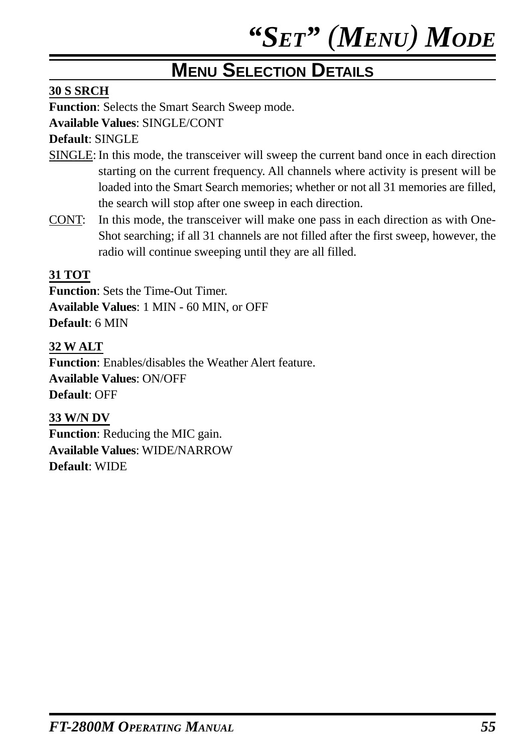## *"SET" (MENU) MODE*

## **MENU SELECTION DETAILS**

#### **30 S SRCH**

**Function**: Selects the Smart Search Sweep mode.

**Available Values**: SINGLE/CONT

**Default**: SINGLE

- SINGLE:In this mode, the transceiver will sweep the current band once in each direction starting on the current frequency. All channels where activity is present will be loaded into the Smart Search memories; whether or not all 31 memories are filled, the search will stop after one sweep in each direction.
- CONT: In this mode, the transceiver will make one pass in each direction as with One-Shot searching; if all 31 channels are not filled after the first sweep, however, the radio will continue sweeping until they are all filled.

#### **31 TOT**

**Function**: Sets the Time-Out Timer. **Available Values**: 1 MIN - 60 MIN, or OFF **Default**: 6 MIN

#### **32 W ALT**

**Function**: Enables/disables the Weather Alert feature. **Available Values**: ON/OFF **Default**: OFF

**33 W/N DV Function**: Reducing the MIC gain. **Available Values**: WIDE/NARROW **Default**: WIDE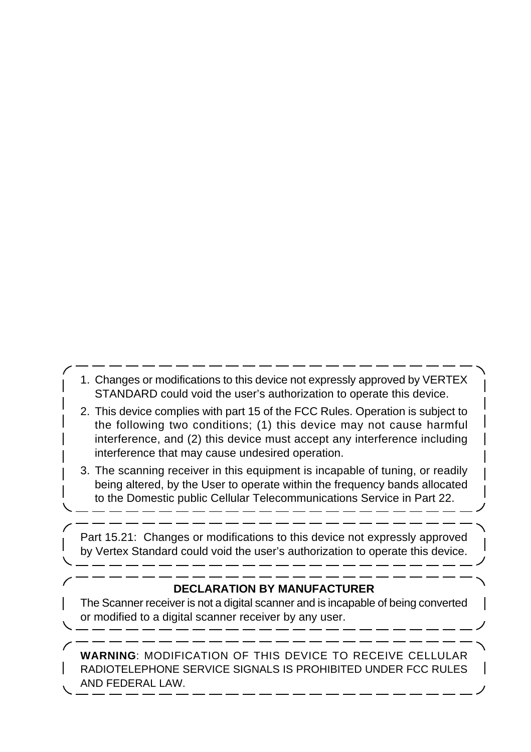1. Changes or modifications to this device not expressly approved by VERTEX STANDARD could void the user's authorization to operate this device.

2. This device complies with part 15 of the FCC Rules. Operation is subject to the following two conditions; (1) this device may not cause harmful interference, and (2) this device must accept any interference including interference that may cause undesired operation.

3. The scanning receiver in this equipment is incapable of tuning, or readily being altered, by the User to operate within the frequency bands allocated to the Domestic public Cellular Telecommunications Service in Part 22.

Part 15.21: Changes or modifications to this device not expressly approved by Vertex Standard could void the user's authorization to operate this device.

#### **DECLARATION BY MANUFACTURER**

The Scanner receiver is not a digital scanner and is incapable of being converted or modified to a digital scanner receiver by any user.

**WARNING**: MODIFICATION OF THIS DEVICE TO RECEIVE CELLULAR RADIOTELEPHONE SERVICE SIGNALS IS PROHIBITED UNDER FCC RULES AND FEDERAL LAW.